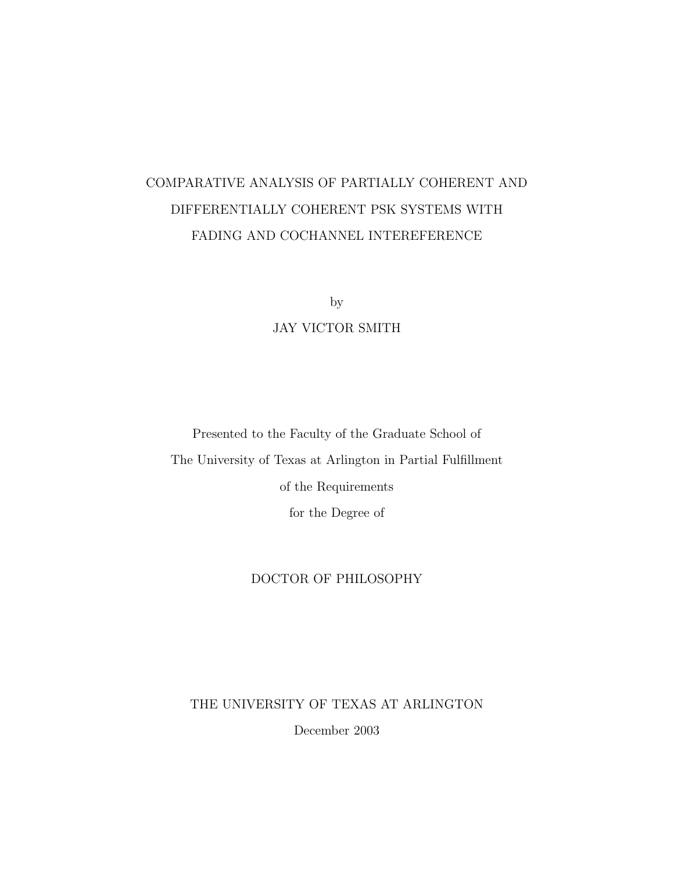# COMPARATIVE ANALYSIS OF PARTIALLY COHERENT AND DIFFERENTIALLY COHERENT PSK SYSTEMS WITH FADING AND COCHANNEL INTEREFERENCE

by

### JAY VICTOR SMITH

Presented to the Faculty of the Graduate School of The University of Texas at Arlington in Partial Fulfillment of the Requirements for the Degree of

#### DOCTOR OF PHILOSOPHY

THE UNIVERSITY OF TEXAS AT ARLINGTON

December 2003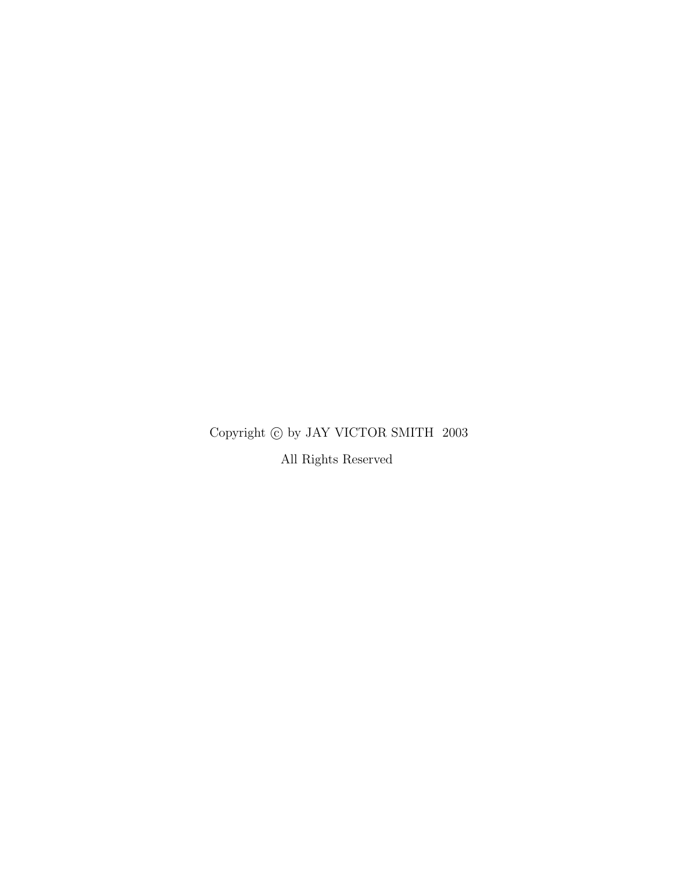## Copyright  $\textcircled{c}$  by JAY VICTOR SMITH  $~2003$

All Rights Reserved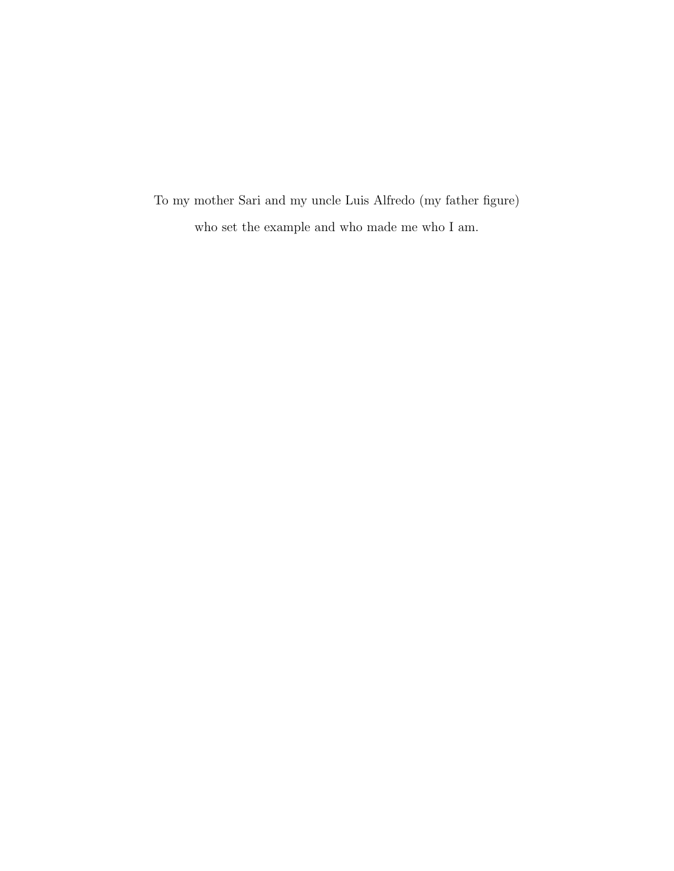To my mother Sari and my uncle Luis Alfredo (my father figure) who set the example and who made me who I am.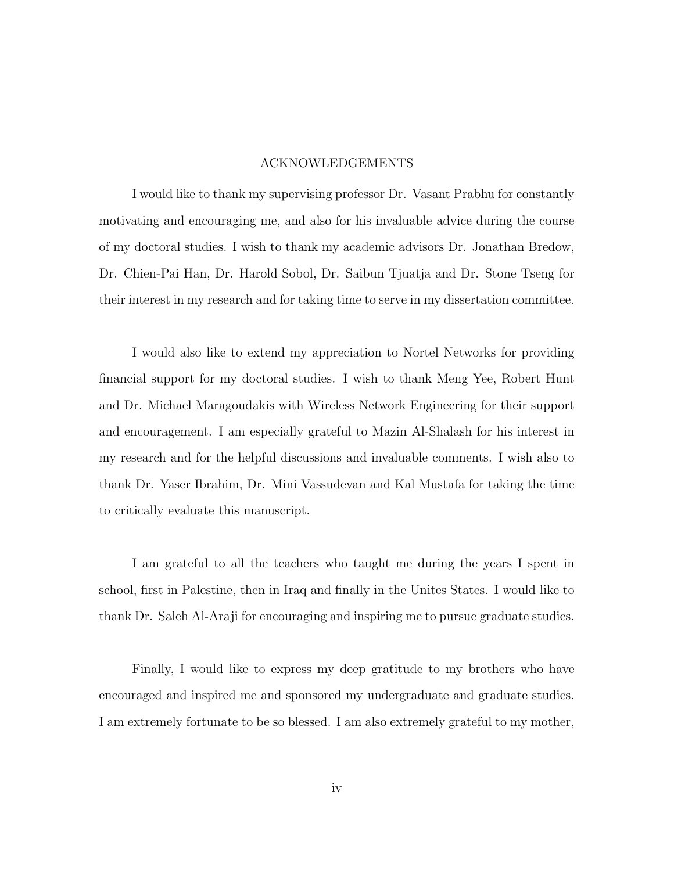#### ACKNOWLEDGEMENTS

I would like to thank my supervising professor Dr. Vasant Prabhu for constantly motivating and encouraging me, and also for his invaluable advice during the course of my doctoral studies. I wish to thank my academic advisors Dr. Jonathan Bredow, Dr. Chien-Pai Han, Dr. Harold Sobol, Dr. Saibun Tjuatja and Dr. Stone Tseng for their interest in my research and for taking time to serve in my dissertation committee.

I would also like to extend my appreciation to Nortel Networks for providing financial support for my doctoral studies. I wish to thank Meng Yee, Robert Hunt and Dr. Michael Maragoudakis with Wireless Network Engineering for their support and encouragement. I am especially grateful to Mazin Al-Shalash for his interest in my research and for the helpful discussions and invaluable comments. I wish also to thank Dr. Yaser Ibrahim, Dr. Mini Vassudevan and Kal Mustafa for taking the time to critically evaluate this manuscript.

I am grateful to all the teachers who taught me during the years I spent in school, first in Palestine, then in Iraq and finally in the Unites States. I would like to thank Dr. Saleh Al-Araji for encouraging and inspiring me to pursue graduate studies.

Finally, I would like to express my deep gratitude to my brothers who have encouraged and inspired me and sponsored my undergraduate and graduate studies. I am extremely fortunate to be so blessed. I am also extremely grateful to my mother,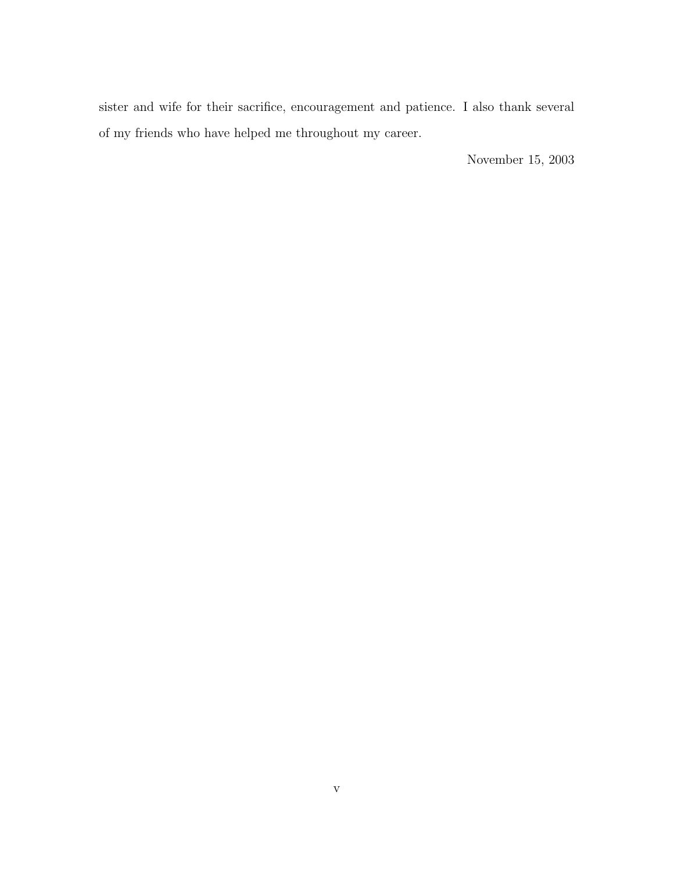sister and wife for their sacrifice, encouragement and patience. I also thank several of my friends who have helped me throughout my career.

November 15, 2003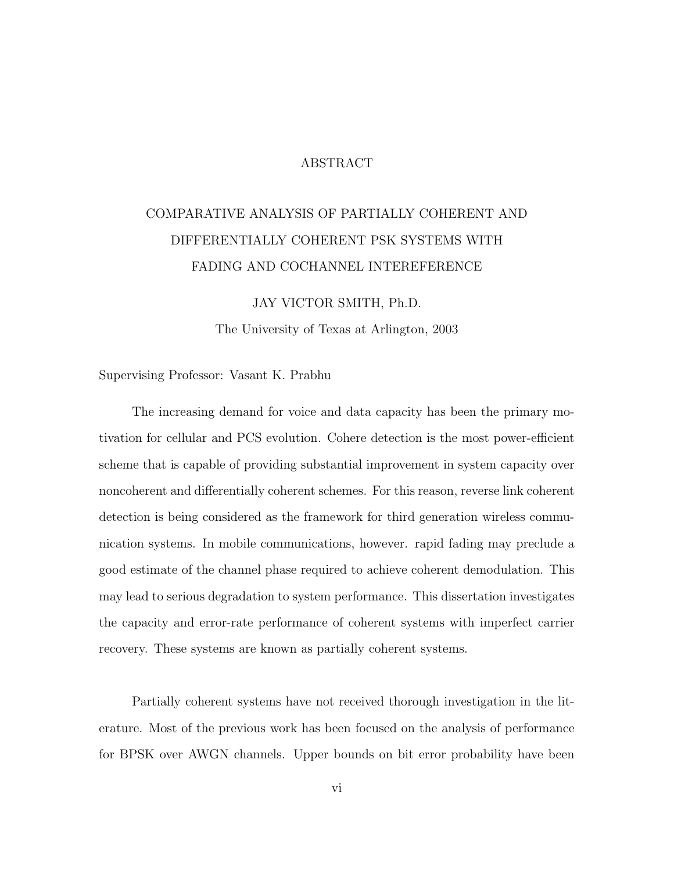#### ABSTRACT

# COMPARATIVE ANALYSIS OF PARTIALLY COHERENT AND DIFFERENTIALLY COHERENT PSK SYSTEMS WITH FADING AND COCHANNEL INTEREFERENCE

JAY VICTOR SMITH, Ph.D. The University of Texas at Arlington, 2003

Supervising Professor: Vasant K. Prabhu

The increasing demand for voice and data capacity has been the primary motivation for cellular and PCS evolution. Cohere detection is the most power-efficient scheme that is capable of providing substantial improvement in system capacity over noncoherent and differentially coherent schemes. For this reason, reverse link coherent detection is being considered as the framework for third generation wireless communication systems. In mobile communications, however. rapid fading may preclude a good estimate of the channel phase required to achieve coherent demodulation. This may lead to serious degradation to system performance. This dissertation investigates the capacity and error-rate performance of coherent systems with imperfect carrier recovery. These systems are known as partially coherent systems.

Partially coherent systems have not received thorough investigation in the literature. Most of the previous work has been focused on the analysis of performance for BPSK over AWGN channels. Upper bounds on bit error probability have been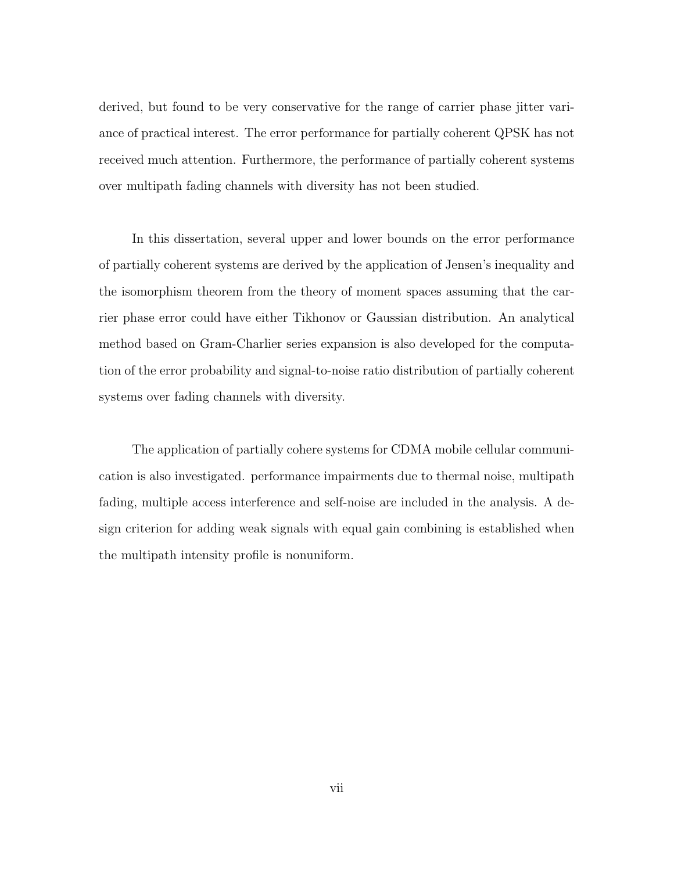derived, but found to be very conservative for the range of carrier phase jitter variance of practical interest. The error performance for partially coherent QPSK has not received much attention. Furthermore, the performance of partially coherent systems over multipath fading channels with diversity has not been studied.

In this dissertation, several upper and lower bounds on the error performance of partially coherent systems are derived by the application of Jensen's inequality and the isomorphism theorem from the theory of moment spaces assuming that the carrier phase error could have either Tikhonov or Gaussian distribution. An analytical method based on Gram-Charlier series expansion is also developed for the computation of the error probability and signal-to-noise ratio distribution of partially coherent systems over fading channels with diversity.

The application of partially cohere systems for CDMA mobile cellular communication is also investigated. performance impairments due to thermal noise, multipath fading, multiple access interference and self-noise are included in the analysis. A design criterion for adding weak signals with equal gain combining is established when the multipath intensity profile is nonuniform.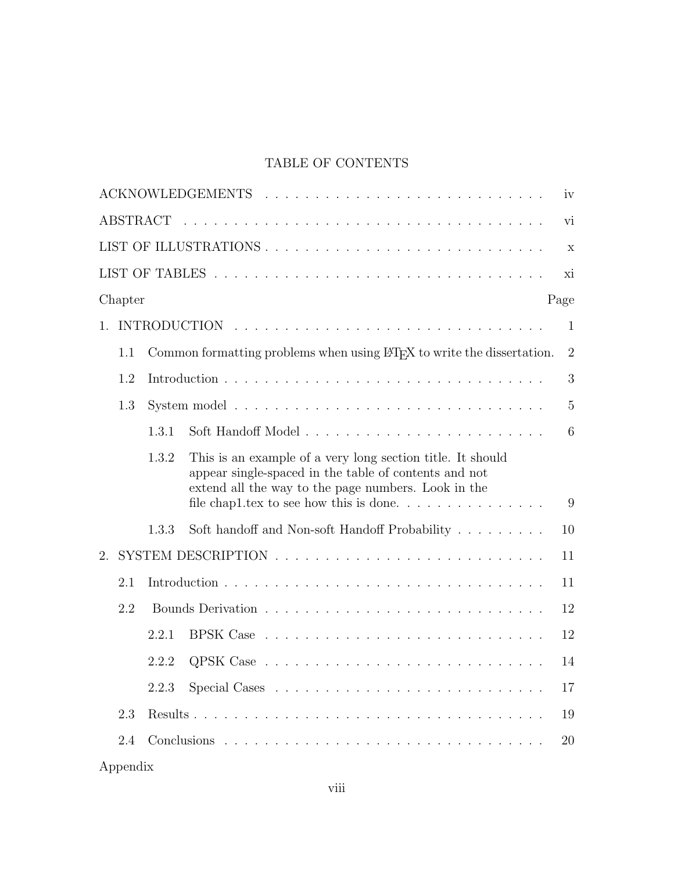## TABLE OF CONTENTS

|                   |       |                                                                                                                                                                            | iv             |
|-------------------|-------|----------------------------------------------------------------------------------------------------------------------------------------------------------------------------|----------------|
| ABSTRACT          |       |                                                                                                                                                                            | vi             |
|                   |       |                                                                                                                                                                            | $\mathbf X$    |
|                   |       |                                                                                                                                                                            | xi             |
| Chapter           |       | Page                                                                                                                                                                       |                |
| $\mathbf{1}$ .    |       |                                                                                                                                                                            | $\mathbf{1}$   |
| 1.1               |       | Common formatting problems when using L <sup>T</sup> FX to write the dissertation.                                                                                         | $\overline{2}$ |
| 1.2               |       |                                                                                                                                                                            | 3              |
| 1.3               |       |                                                                                                                                                                            | $\overline{5}$ |
|                   | 1.3.1 |                                                                                                                                                                            | 6              |
|                   | 1.3.2 | This is an example of a very long section title. It should<br>appear single-spaced in the table of contents and not<br>extend all the way to the page numbers. Look in the | 9              |
|                   | 1.3.3 | Soft handoff and Non-soft Handoff Probability                                                                                                                              | 10             |
| 2.                |       |                                                                                                                                                                            | 11             |
| 2.1               |       |                                                                                                                                                                            | 11             |
| 2.2               |       |                                                                                                                                                                            | 12             |
|                   | 2.2.1 |                                                                                                                                                                            | 12             |
|                   | 2.2.2 |                                                                                                                                                                            | 14             |
|                   | 2.2.3 |                                                                                                                                                                            | 17             |
| 2.3               |       |                                                                                                                                                                            | 19             |
| 2.4               |       |                                                                                                                                                                            | 20             |
| $\Lambda$ ppondiv |       |                                                                                                                                                                            |                |

| ADDENGIX |  |  |  |
|----------|--|--|--|
|          |  |  |  |
|          |  |  |  |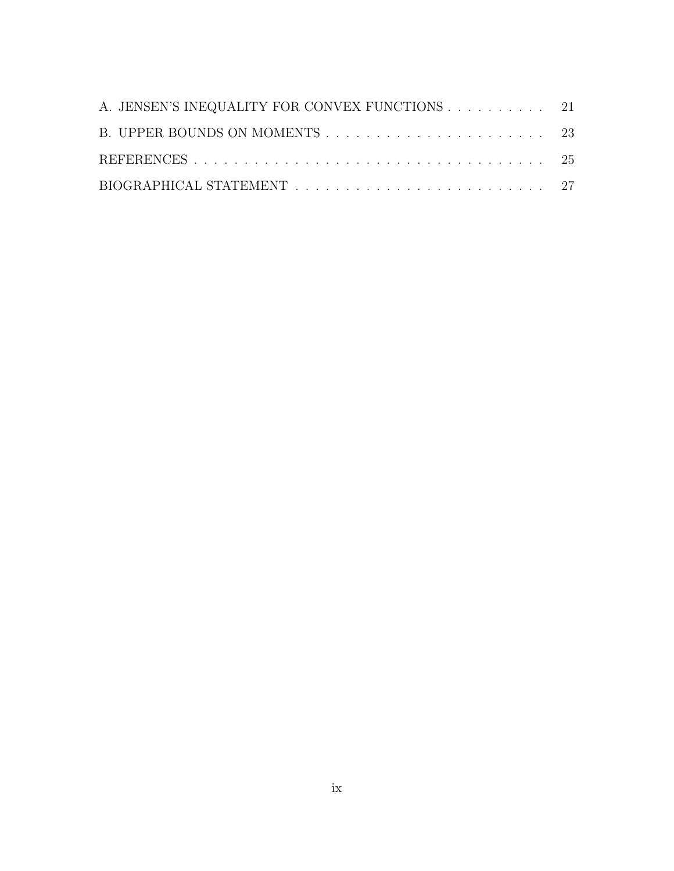| A. JENSEN'S INEQUALITY FOR CONVEX FUNCTIONS 21 |  |
|------------------------------------------------|--|
|                                                |  |
|                                                |  |
|                                                |  |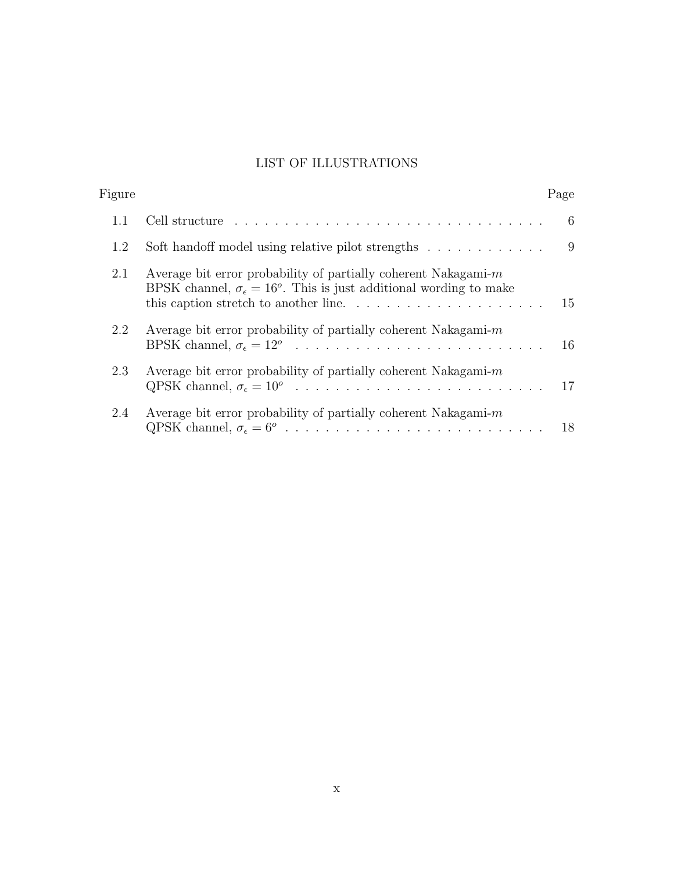## LIST OF ILLUSTRATIONS

| Figure |                                                                                                                                                               | Page |
|--------|---------------------------------------------------------------------------------------------------------------------------------------------------------------|------|
| 1.1    |                                                                                                                                                               | 6    |
| 1.2    | Soft handoff model using relative pilot strengths                                                                                                             | 9    |
| 2.1    | Average bit error probability of partially coherent Nakagami- $m$<br>BPSK channel, $\sigma_{\epsilon} = 16^{\circ}$ . This is just additional wording to make | 15   |
| 2.2    | Average bit error probability of partially coherent Nakagami- $m$                                                                                             | 16   |
| 2.3    | Average bit error probability of partially coherent Nakagami- $m$                                                                                             | 17   |
| 2.4    | Average bit error probability of partially coherent Nakagami- $m$                                                                                             | 18   |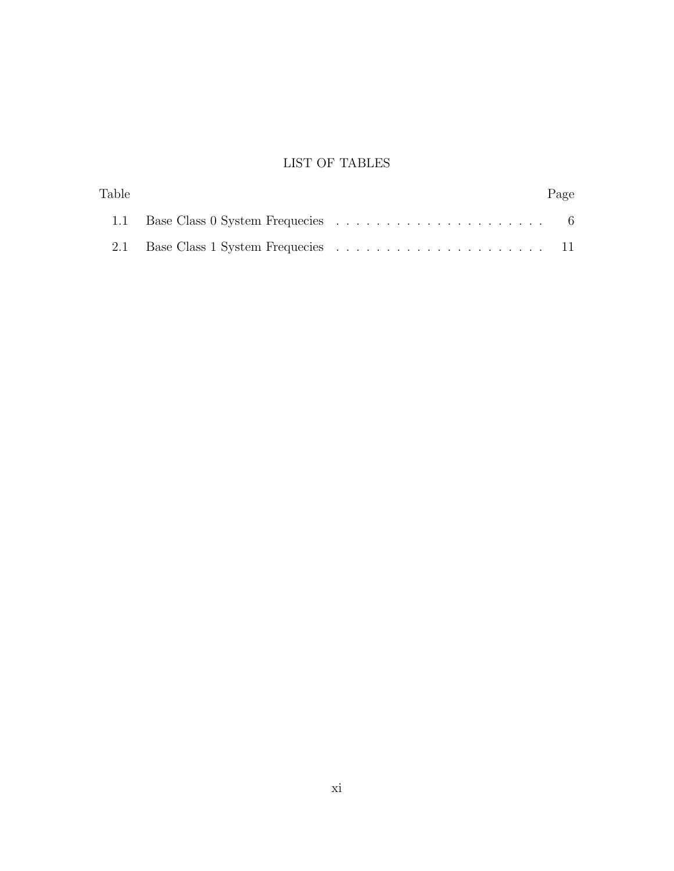## LIST OF TABLES

| Table |  | Page |
|-------|--|------|
|       |  |      |
|       |  |      |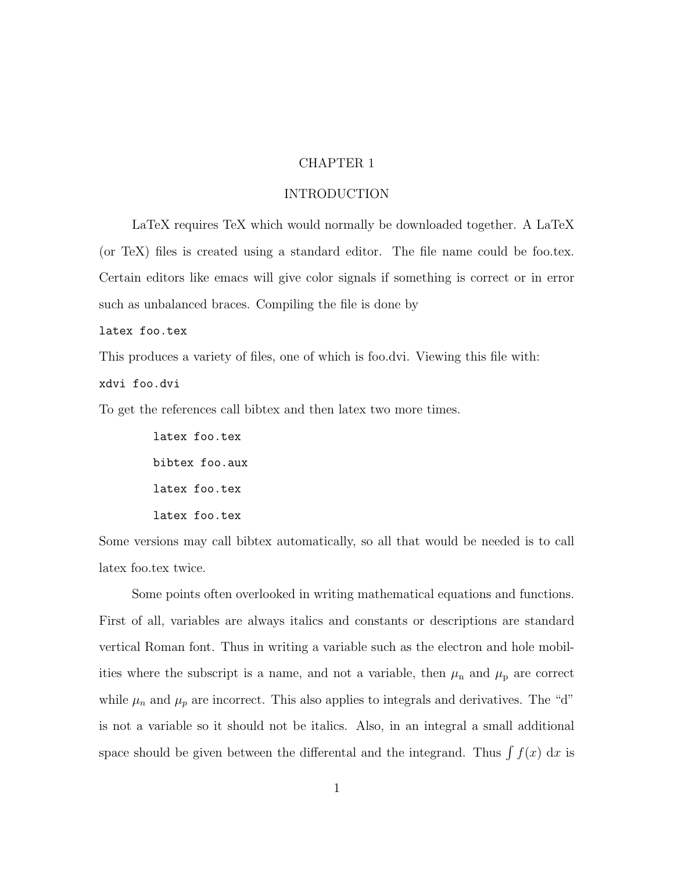#### CHAPTER 1

#### INTRODUCTION

LaTeX requires TeX which would normally be downloaded together. A LaTeX (or TeX) files is created using a standard editor. The file name could be foo.tex. Certain editors like emacs will give color signals if something is correct or in error such as unbalanced braces. Compiling the file is done by

#### latex foo.tex

This produces a variety of files, one of which is foo.dvi. Viewing this file with: xdvi foo.dvi

To get the references call bibtex and then latex two more times.

latex foo.tex bibtex foo.aux latex foo.tex latex foo.tex

Some versions may call bibtex automatically, so all that would be needed is to call latex foo.tex twice.

Some points often overlooked in writing mathematical equations and functions. First of all, variables are always italics and constants or descriptions are standard vertical Roman font. Thus in writing a variable such as the electron and hole mobilities where the subscript is a name, and not a variable, then  $\mu_n$  and  $\mu_p$  are correct while  $\mu_n$  and  $\mu_p$  are incorrect. This also applies to integrals and derivatives. The "d" is not a variable so it should not be italics. Also, in an integral a small additional space should be given between the differental and the integrand. Thus  $\int f(x) dx$  is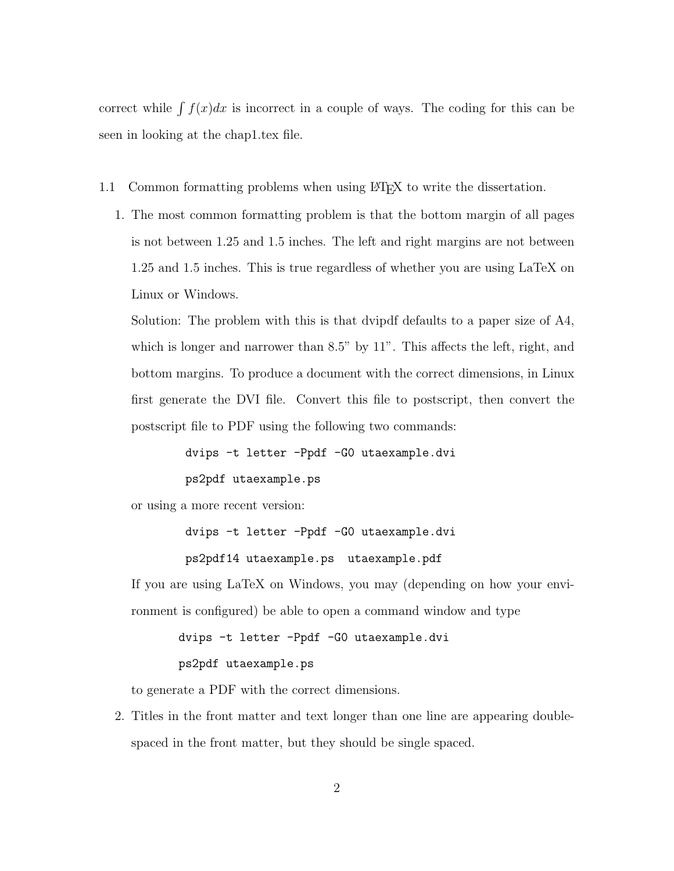correct while  $\int f(x)dx$  is incorrect in a couple of ways. The coding for this can be seen in looking at the chap1.tex file.

- 1.1 Common formatting problems when using LATEX to write the dissertation.
	- 1. The most common formatting problem is that the bottom margin of all pages is not between 1.25 and 1.5 inches. The left and right margins are not between 1.25 and 1.5 inches. This is true regardless of whether you are using LaTeX on Linux or Windows.

Solution: The problem with this is that dvipdf defaults to a paper size of A4, which is longer and narrower than 8.5" by 11". This affects the left, right, and bottom margins. To produce a document with the correct dimensions, in Linux first generate the DVI file. Convert this file to postscript, then convert the postscript file to PDF using the following two commands:

> dvips -t letter -Ppdf -G0 utaexample.dvi ps2pdf utaexample.ps

or using a more recent version:

dvips -t letter -Ppdf -G0 utaexample.dvi

ps2pdf14 utaexample.ps utaexample.pdf

If you are using LaTeX on Windows, you may (depending on how your environment is configured) be able to open a command window and type

dvips -t letter -Ppdf -G0 utaexample.dvi

#### ps2pdf utaexample.ps

to generate a PDF with the correct dimensions.

2. Titles in the front matter and text longer than one line are appearing doublespaced in the front matter, but they should be single spaced.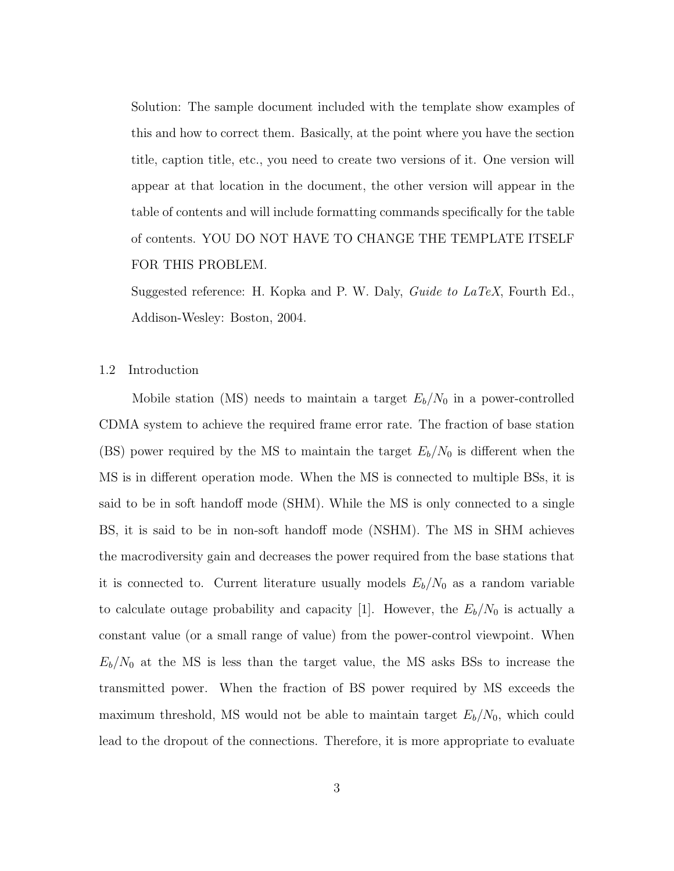Solution: The sample document included with the template show examples of this and how to correct them. Basically, at the point where you have the section title, caption title, etc., you need to create two versions of it. One version will appear at that location in the document, the other version will appear in the table of contents and will include formatting commands specifically for the table of contents. YOU DO NOT HAVE TO CHANGE THE TEMPLATE ITSELF FOR THIS PROBLEM.

Suggested reference: H. Kopka and P. W. Daly, Guide to LaTeX, Fourth Ed., Addison-Wesley: Boston, 2004.

1.2 Introduction

Mobile station (MS) needs to maintain a target  $E_b/N_0$  in a power-controlled CDMA system to achieve the required frame error rate. The fraction of base station (BS) power required by the MS to maintain the target  $E_b/N_0$  is different when the MS is in different operation mode. When the MS is connected to multiple BSs, it is said to be in soft handoff mode (SHM). While the MS is only connected to a single BS, it is said to be in non-soft handoff mode (NSHM). The MS in SHM achieves the macrodiversity gain and decreases the power required from the base stations that it is connected to. Current literature usually models  $E_b/N_0$  as a random variable to calculate outage probability and capacity [1]. However, the  $E_b/N_0$  is actually a constant value (or a small range of value) from the power-control viewpoint. When  $E_b/N_0$  at the MS is less than the target value, the MS asks BSs to increase the transmitted power. When the fraction of BS power required by MS exceeds the maximum threshold, MS would not be able to maintain target  $E_b/N_0$ , which could lead to the dropout of the connections. Therefore, it is more appropriate to evaluate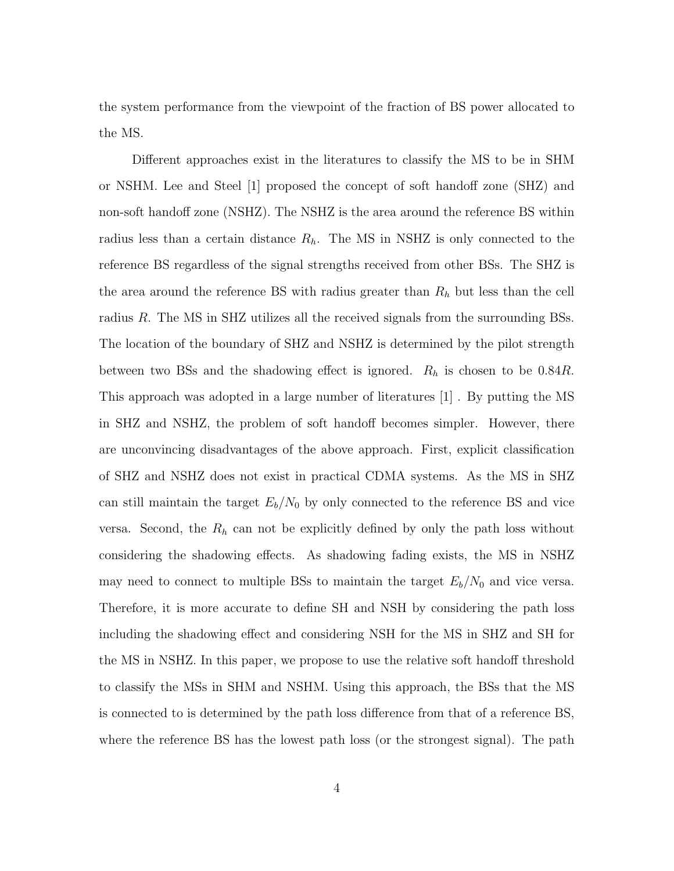the system performance from the viewpoint of the fraction of BS power allocated to the MS.

Different approaches exist in the literatures to classify the MS to be in SHM or NSHM. Lee and Steel [1] proposed the concept of soft handoff zone (SHZ) and non-soft handoff zone (NSHZ). The NSHZ is the area around the reference BS within radius less than a certain distance  $R_h$ . The MS in NSHZ is only connected to the reference BS regardless of the signal strengths received from other BSs. The SHZ is the area around the reference BS with radius greater than  $R_h$  but less than the cell radius R. The MS in SHZ utilizes all the received signals from the surrounding BSs. The location of the boundary of SHZ and NSHZ is determined by the pilot strength between two BSs and the shadowing effect is ignored.  $R_h$  is chosen to be 0.84R. This approach was adopted in a large number of literatures [1] . By putting the MS in SHZ and NSHZ, the problem of soft handoff becomes simpler. However, there are unconvincing disadvantages of the above approach. First, explicit classification of SHZ and NSHZ does not exist in practical CDMA systems. As the MS in SHZ can still maintain the target  $E_b/N_0$  by only connected to the reference BS and vice versa. Second, the  $R_h$  can not be explicitly defined by only the path loss without considering the shadowing effects. As shadowing fading exists, the MS in NSHZ may need to connect to multiple BSs to maintain the target  $E_b/N_0$  and vice versa. Therefore, it is more accurate to define SH and NSH by considering the path loss including the shadowing effect and considering NSH for the MS in SHZ and SH for the MS in NSHZ. In this paper, we propose to use the relative soft handoff threshold to classify the MSs in SHM and NSHM. Using this approach, the BSs that the MS is connected to is determined by the path loss difference from that of a reference BS, where the reference BS has the lowest path loss (or the strongest signal). The path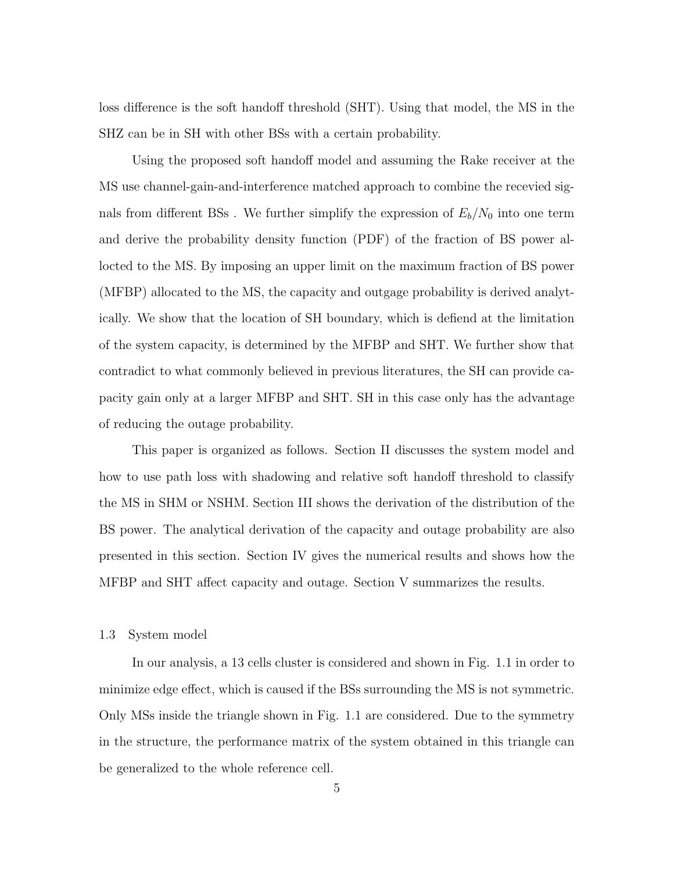loss difference is the soft handoff threshold (SHT). Using that model, the MS in the SHZ can be in SH with other BSs with a certain probability.

Using the proposed soft handoff model and assuming the Rake receiver at the MS use channel-gain-and-interference matched approach to combine the recevied signals from different BSs. We further simplify the expression of  $E_b/N_0$  into one term and derive the probability density function (PDF) of the fraction of BS power allocted to the MS. By imposing an upper limit on the maximum fraction of BS power (MFBP) allocated to the MS, the capacity and outgage probability is derived analytically. We show that the location of SH boundary, which is defiend at the limitation of the system capacity, is determined by the MFBP and SHT. We further show that contradict to what commonly believed in previous literatures, the SH can provide capacity gain only at a larger MFBP and SHT. SH in this case only has the advantage of reducing the outage probability.

This paper is organized as follows. Section II discusses the system model and how to use path loss with shadowing and relative soft handoff threshold to classify the MS in SHM or NSHM. Section III shows the derivation of the distribution of the BS power. The analytical derivation of the capacity and outage probability are also presented in this section. Section IV gives the numerical results and shows how the MFBP and SHT affect capacity and outage. Section V summarizes the results.

#### 1.3 System model

In our analysis, a 13 cells cluster is considered and shown in Fig. 1.1 in order to minimize edge effect, which is caused if the BSs surrounding the MS is not symmetric. Only MSs inside the triangle shown in Fig. 1.1 are considered. Due to the symmetry in the structure, the performance matrix of the system obtained in this triangle can be generalized to the whole reference cell.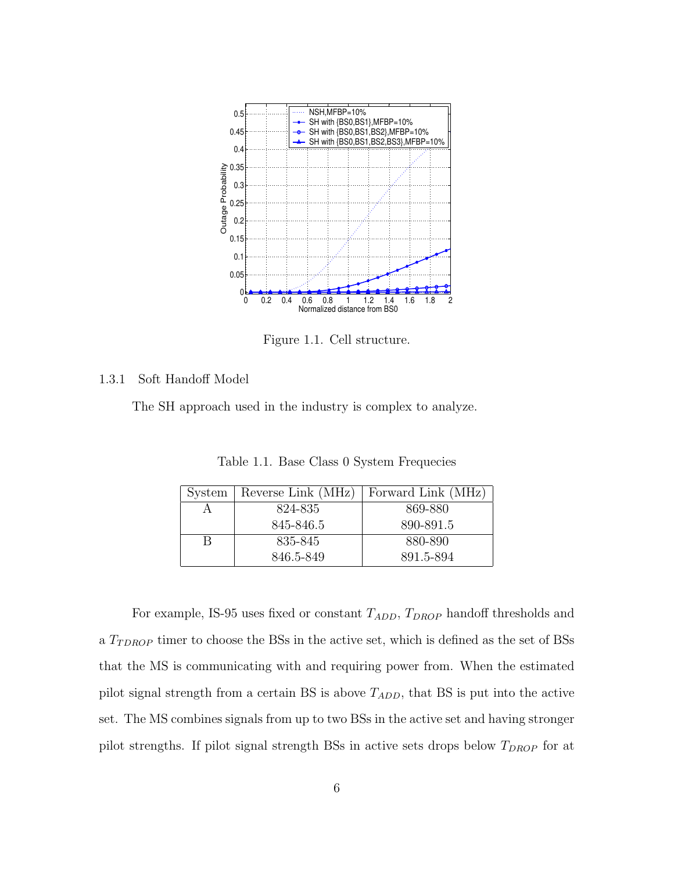

Figure 1.1. Cell structure.

#### 1.3.1 Soft Handoff Model

The SH approach used in the industry is complex to analyze.

Table 1.1. Base Class 0 System Frequecies

| System | Reverse Link $(MHz)$ | Forward Link (MHz) |
|--------|----------------------|--------------------|
|        | 824-835              | 869-880            |
|        | 845-846.5            | 890-891.5          |
| B      | 835-845              | 880-890            |
|        | 846.5-849            | 891.5-894          |

For example, IS-95 uses fixed or constant  $T_{ADD}$ ,  $T_{DROP}$  handoff thresholds and a  $T_{TDROP}$  timer to choose the BSs in the active set, which is defined as the set of BSs that the MS is communicating with and requiring power from. When the estimated pilot signal strength from a certain BS is above  $T_{ADD}$ , that BS is put into the active set. The MS combines signals from up to two BSs in the active set and having stronger pilot strengths. If pilot signal strength BSs in active sets drops below  $T_{DROP}$  for at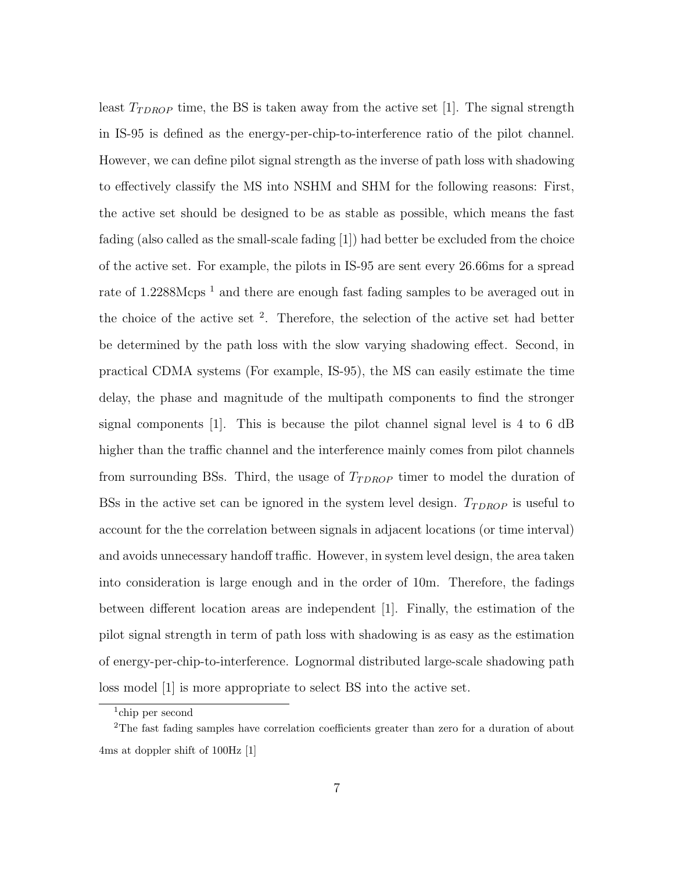least  $T_{TDROP}$  time, the BS is taken away from the active set [1]. The signal strength in IS-95 is defined as the energy-per-chip-to-interference ratio of the pilot channel. However, we can define pilot signal strength as the inverse of path loss with shadowing to effectively classify the MS into NSHM and SHM for the following reasons: First, the active set should be designed to be as stable as possible, which means the fast fading (also called as the small-scale fading [1]) had better be excluded from the choice of the active set. For example, the pilots in IS-95 are sent every 26.66ms for a spread rate of  $1.2288Mcps<sup>1</sup>$  and there are enough fast fading samples to be averaged out in the choice of the active set  $^2$ . Therefore, the selection of the active set had better be determined by the path loss with the slow varying shadowing effect. Second, in practical CDMA systems (For example, IS-95), the MS can easily estimate the time delay, the phase and magnitude of the multipath components to find the stronger signal components [1]. This is because the pilot channel signal level is 4 to 6 dB higher than the traffic channel and the interference mainly comes from pilot channels from surrounding BSs. Third, the usage of  $T_{TDROP}$  timer to model the duration of BSs in the active set can be ignored in the system level design.  $T_{TDROP}$  is useful to account for the the correlation between signals in adjacent locations (or time interval) and avoids unnecessary handoff traffic. However, in system level design, the area taken into consideration is large enough and in the order of 10m. Therefore, the fadings between different location areas are independent [1]. Finally, the estimation of the pilot signal strength in term of path loss with shadowing is as easy as the estimation of energy-per-chip-to-interference. Lognormal distributed large-scale shadowing path loss model [1] is more appropriate to select BS into the active set.

<sup>1</sup> chip per second

<sup>2</sup>The fast fading samples have correlation coefficients greater than zero for a duration of about 4ms at doppler shift of 100Hz [1]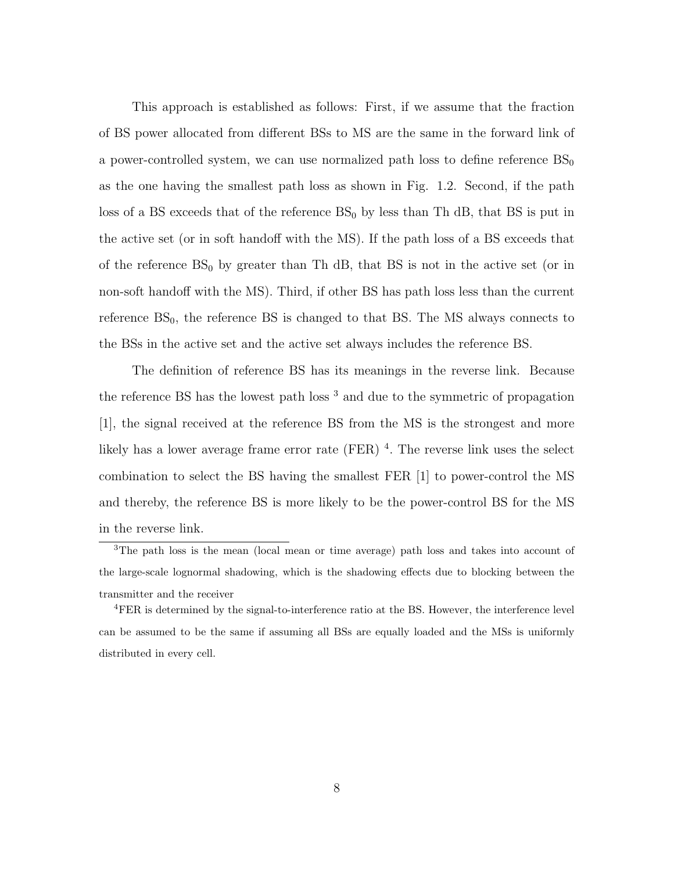This approach is established as follows: First, if we assume that the fraction of BS power allocated from different BSs to MS are the same in the forward link of a power-controlled system, we can use normalized path loss to define reference  $BS_0$ as the one having the smallest path loss as shown in Fig. 1.2. Second, if the path loss of a BS exceeds that of the reference  $BS_0$  by less than Th dB, that BS is put in the active set (or in soft handoff with the MS). If the path loss of a BS exceeds that of the reference  $BS_0$  by greater than Th dB, that BS is not in the active set (or in non-soft handoff with the MS). Third, if other BS has path loss less than the current reference  $BS<sub>0</sub>$ , the reference  $BS$  is changed to that BS. The MS always connects to the BSs in the active set and the active set always includes the reference BS.

The definition of reference BS has its meanings in the reverse link. Because the reference BS has the lowest path loss  $3$  and due to the symmetric of propagation [1], the signal received at the reference BS from the MS is the strongest and more likely has a lower average frame error rate  $(FER)$ <sup>4</sup>. The reverse link uses the select combination to select the BS having the smallest FER [1] to power-control the MS and thereby, the reference BS is more likely to be the power-control BS for the MS in the reverse link.

<sup>3</sup>The path loss is the mean (local mean or time average) path loss and takes into account of the large-scale lognormal shadowing, which is the shadowing effects due to blocking between the transmitter and the receiver

<sup>4</sup>FER is determined by the signal-to-interference ratio at the BS. However, the interference level can be assumed to be the same if assuming all BSs are equally loaded and the MSs is uniformly distributed in every cell.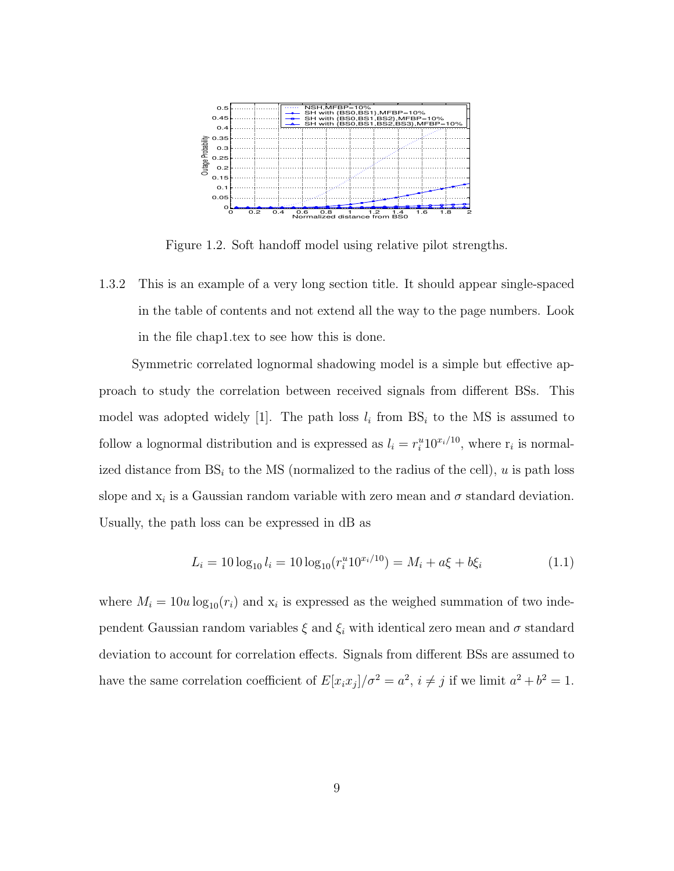

Figure 1.2. Soft handoff model using relative pilot strengths.

1.3.2 This is an example of a very long section title. It should appear single-spaced in the table of contents and not extend all the way to the page numbers. Look in the file chap1.tex to see how this is done.

Symmetric correlated lognormal shadowing model is a simple but effective approach to study the correlation between received signals from different BSs. This model was adopted widely [1]. The path loss  $l_i$  from  $BS_i$  to the MS is assumed to follow a lognormal distribution and is expressed as  $l_i = r_i^u 10^{x_i/10}$ , where  $r_i$  is normalized distance from  $BS_i$  to the MS (normalized to the radius of the cell), u is path loss slope and  $x_i$  is a Gaussian random variable with zero mean and  $\sigma$  standard deviation. Usually, the path loss can be expressed in dB as

$$
L_i = 10 \log_{10} l_i = 10 \log_{10} (r_i^u 10^{x_i/10}) = M_i + a\xi + b\xi_i
$$
\n(1.1)

where  $M_i = 10u \log_{10}(r_i)$  and  $x_i$  is expressed as the weighed summation of two independent Gaussian random variables  $\xi$  and  $\xi_i$  with identical zero mean and  $\sigma$  standard deviation to account for correlation effects. Signals from different BSs are assumed to have the same correlation coefficient of  $E[x_ix_j]/\sigma^2 = a^2$ ,  $i \neq j$  if we limit  $a^2 + b^2 = 1$ .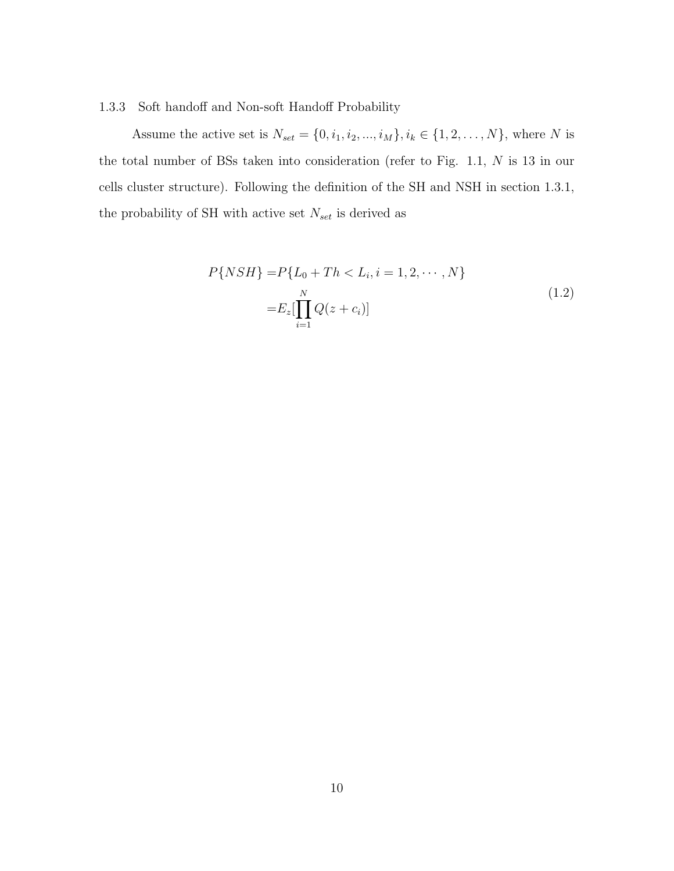#### 1.3.3 Soft handoff and Non-soft Handoff Probability

Assume the active set is  $N_{set} = \{0, i_1, i_2, ..., i_M\}, i_k \in \{1, 2, ..., N\}$ , where N is the total number of BSs taken into consideration (refer to Fig. 1.1, N is 13 in our cells cluster structure). Following the definition of the SH and NSH in section 1.3.1, the probability of SH with active set  $N_{\mathit{set}}$  is derived as

$$
P\{NSH\} = P\{L_0 + Th < L_i, i = 1, 2, \cdots, N\}
$$
\n
$$
= E_z[\prod_{i=1}^{N} Q(z + c_i)] \tag{1.2}
$$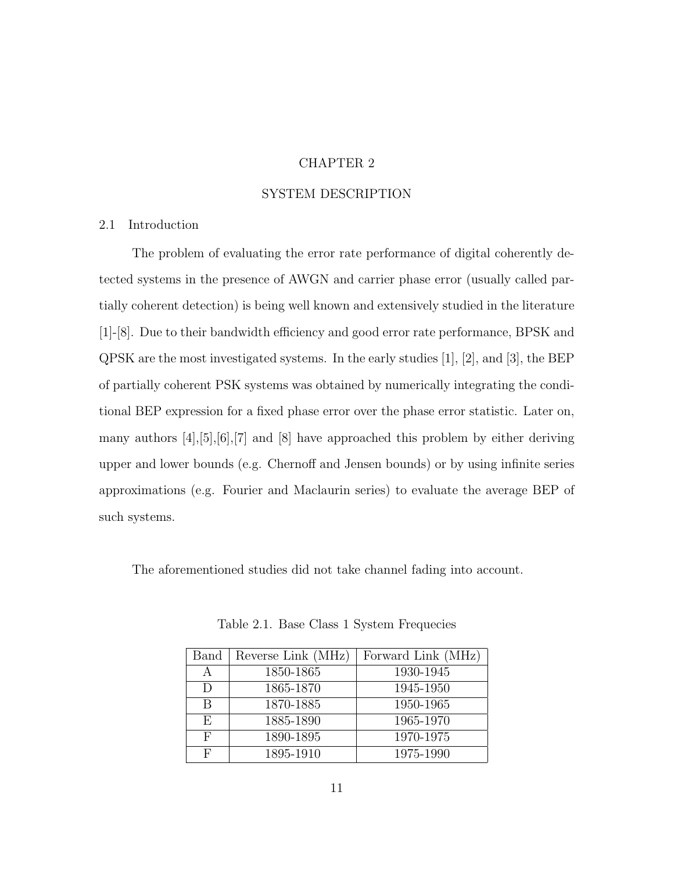#### CHAPTER 2

#### SYSTEM DESCRIPTION

#### 2.1 Introduction

The problem of evaluating the error rate performance of digital coherently detected systems in the presence of AWGN and carrier phase error (usually called partially coherent detection) is being well known and extensively studied in the literature [1]-[8]. Due to their bandwidth efficiency and good error rate performance, BPSK and QPSK are the most investigated systems. In the early studies [1], [2], and [3], the BEP of partially coherent PSK systems was obtained by numerically integrating the conditional BEP expression for a fixed phase error over the phase error statistic. Later on, many authors [4],[5],[6],[7] and [8] have approached this problem by either deriving upper and lower bounds (e.g. Chernoff and Jensen bounds) or by using infinite series approximations (e.g. Fourier and Maclaurin series) to evaluate the average BEP of such systems.

The aforementioned studies did not take channel fading into account.

| Band | Reverse Link (MHz) | Forward Link (MHz) |
|------|--------------------|--------------------|
| A    | 1850-1865          | 1930-1945          |
|      | 1865-1870          | 1945-1950          |
| B    | 1870-1885          | 1950-1965          |
| F.   | 1885-1890          | 1965-1970          |
| F    | 1890-1895          | 1970-1975          |
| F    | 1895-1910          | 1975-1990          |

Table 2.1. Base Class 1 System Frequecies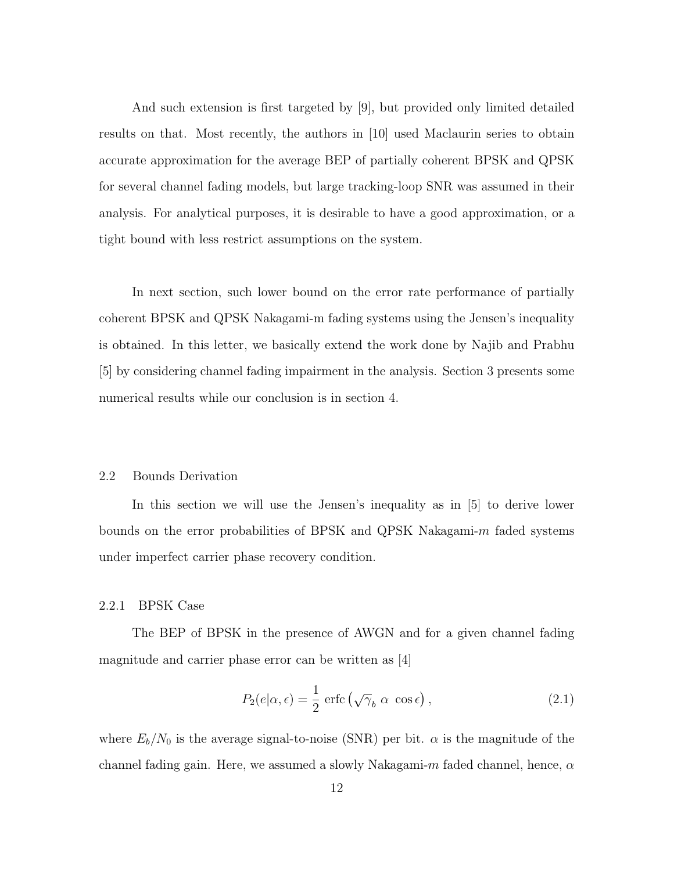And such extension is first targeted by [9], but provided only limited detailed results on that. Most recently, the authors in [10] used Maclaurin series to obtain accurate approximation for the average BEP of partially coherent BPSK and QPSK for several channel fading models, but large tracking-loop SNR was assumed in their analysis. For analytical purposes, it is desirable to have a good approximation, or a tight bound with less restrict assumptions on the system.

In next section, such lower bound on the error rate performance of partially coherent BPSK and QPSK Nakagami-m fading systems using the Jensen's inequality is obtained. In this letter, we basically extend the work done by Najib and Prabhu [5] by considering channel fading impairment in the analysis. Section 3 presents some numerical results while our conclusion is in section 4.

#### 2.2 Bounds Derivation

In this section we will use the Jensen's inequality as in [5] to derive lower bounds on the error probabilities of BPSK and QPSK Nakagami-m faded systems under imperfect carrier phase recovery condition.

#### 2.2.1 BPSK Case

The BEP of BPSK in the presence of AWGN and for a given channel fading magnitude and carrier phase error can be written as [4]

$$
P_2(e|\alpha, \epsilon) = \frac{1}{2} \operatorname{erfc} \left( \sqrt{\gamma}_b \alpha \cos \epsilon \right), \qquad (2.1)
$$

where  $E_b/N_0$  is the average signal-to-noise (SNR) per bit.  $\alpha$  is the magnitude of the channel fading gain. Here, we assumed a slowly Nakagami-m faded channel, hence,  $\alpha$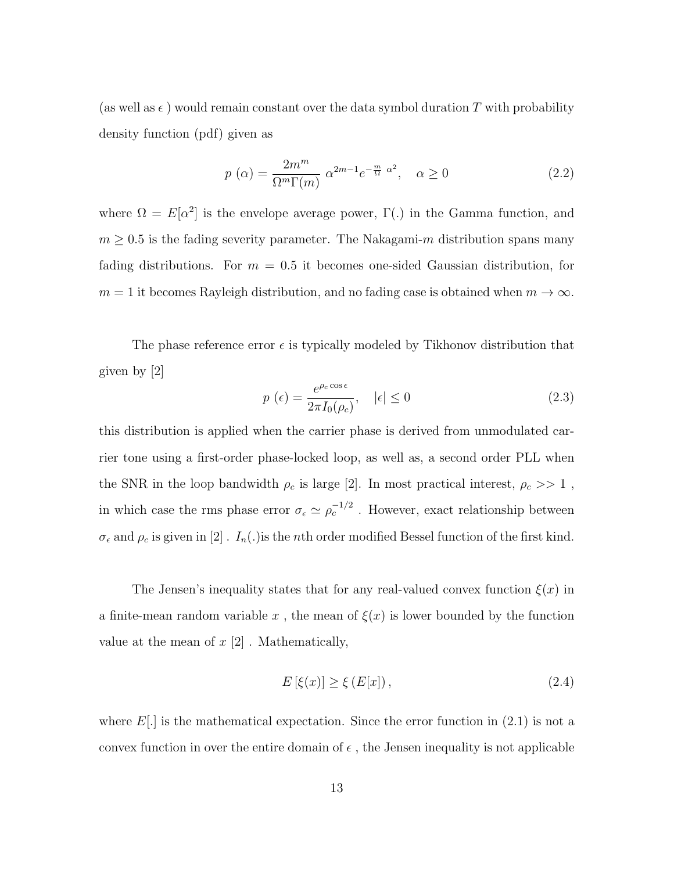(as well as  $\epsilon$ ) would remain constant over the data symbol duration T with probability density function (pdf) given as

$$
p\ (\alpha) = \frac{2m^m}{\Omega^m \Gamma(m)} \ \alpha^{2m-1} e^{-\frac{m}{\Omega} \ \alpha^2}, \quad \alpha \ge 0 \tag{2.2}
$$

where  $\Omega = E[\alpha^2]$  is the envelope average power,  $\Gamma(.)$  in the Gamma function, and  $m \geq 0.5$  is the fading severity parameter. The Nakagami-m distribution spans many fading distributions. For  $m = 0.5$  it becomes one-sided Gaussian distribution, for  $m = 1$  it becomes Rayleigh distribution, and no fading case is obtained when  $m \to \infty$ .

The phase reference error  $\epsilon$  is typically modeled by Tikhonov distribution that given by [2]

$$
p\left(\epsilon\right) = \frac{e^{\rho_c \cos \epsilon}}{2\pi I_0(\rho_c)}, \quad |\epsilon| \le 0 \tag{2.3}
$$

this distribution is applied when the carrier phase is derived from unmodulated carrier tone using a first-order phase-locked loop, as well as, a second order PLL when the SNR in the loop bandwidth  $\rho_c$  is large [2]. In most practical interest,  $\rho_c >> 1$ , in which case the rms phase error  $\sigma_{\epsilon} \simeq \rho_c^{-1/2}$ . However, exact relationship between  $\sigma_{\epsilon}$  and  $\rho_c$  is given in  $[2]$  .  $I_n(.)$  is the *n*th order modified Bessel function of the first kind.

The Jensen's inequality states that for any real-valued convex function  $\xi(x)$  in a finite-mean random variable x, the mean of  $\xi(x)$  is lower bounded by the function value at the mean of  $x \, [2]$ . Mathematically,

$$
E\left[\xi(x)\right] \ge \xi\left(E[x]\right),\tag{2.4}
$$

where  $E[.]$  is the mathematical expectation. Since the error function in  $(2.1)$  is not a convex function in over the entire domain of  $\epsilon$ , the Jensen inequality is not applicable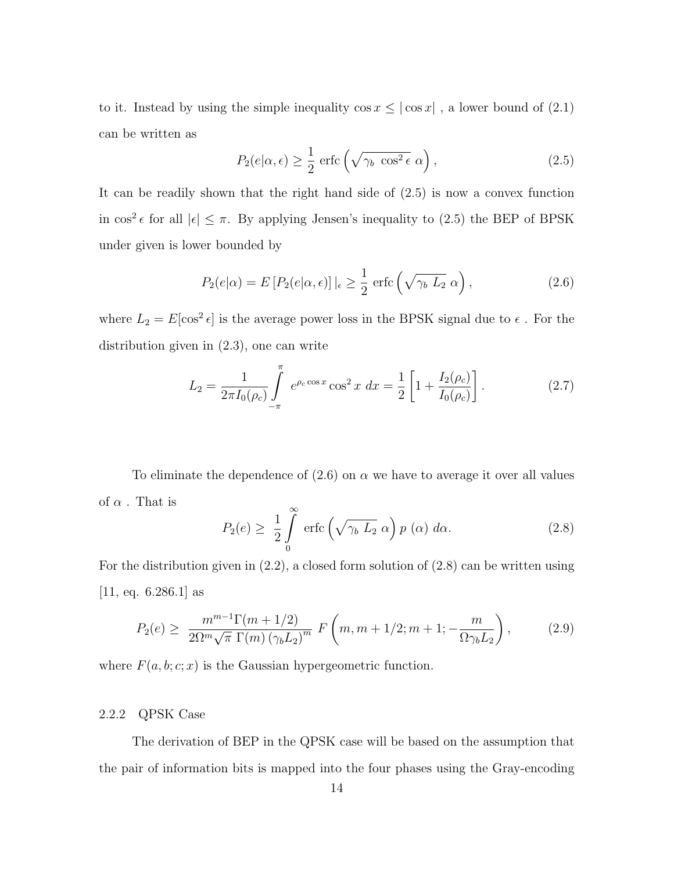to it. Instead by using the simple inequality  $\cos x \le |\cos x|$ , a lower bound of (2.1) can be written as

$$
P_2(e|\alpha, \epsilon) \ge \frac{1}{2} \operatorname{erfc}\left(\sqrt{\gamma_b \cos^2 \epsilon} \alpha\right),\tag{2.5}
$$

It can be readily shown that the right hand side of (2.5) is now a convex function in  $\cos^2 \epsilon$  for all  $|\epsilon| \leq \pi$ . By applying Jensen's inequality to (2.5) the BEP of BPSK under given is lower bounded by

$$
P_2(e|\alpha) = E\left[P_2(e|\alpha, \epsilon)\right]|_{\epsilon} \ge \frac{1}{2} \operatorname{erfc}\left(\sqrt{\gamma_b L_2} \alpha\right),\tag{2.6}
$$

where  $L_2 = E[\cos^2 \epsilon]$  is the average power loss in the BPSK signal due to  $\epsilon$ . For the distribution given in (2.3), one can write

$$
L_2 = \frac{1}{2\pi I_0(\rho_c)} \int_{-\pi}^{\pi} e^{\rho_c \cos x} \cos^2 x \, dx = \frac{1}{2} \left[ 1 + \frac{I_2(\rho_c)}{I_0(\rho_c)} \right]. \tag{2.7}
$$

To eliminate the dependence of  $(2.6)$  on  $\alpha$  we have to average it over all values of  $\alpha$  . That is

$$
P_2(e) \geq \frac{1}{2} \int_{0}^{\infty} \text{erfc}\left(\sqrt{\gamma_b L_2} \alpha\right) p\left(\alpha\right) d\alpha. \tag{2.8}
$$

For the distribution given in (2.2), a closed form solution of (2.8) can be written using [11, eq.  $6.286.1$ ] as

$$
P_2(e) \geq \frac{m^{m-1}\Gamma(m+1/2)}{2\Omega^m \sqrt{\pi} \Gamma(m) \left(\gamma_b L_2\right)^m} F\left(m, m+1/2; m+1; -\frac{m}{\Omega \gamma_b L_2}\right),\tag{2.9}
$$

where  $F(a, b; c; x)$  is the Gaussian hypergeometric function.

#### 2.2.2 QPSK Case

The derivation of BEP in the QPSK case will be based on the assumption that the pair of information bits is mapped into the four phases using the Gray-encoding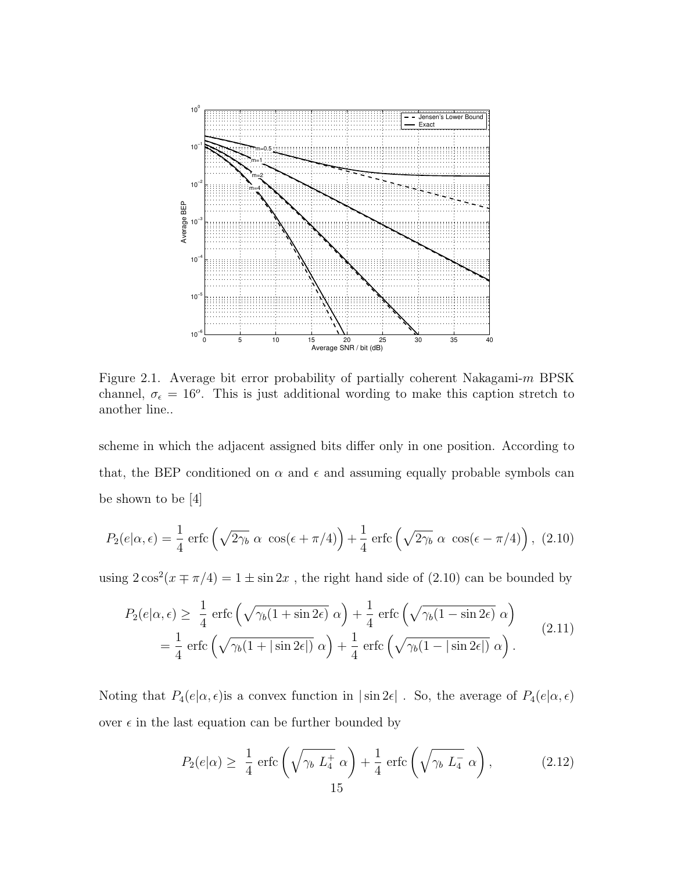

Figure 2.1. Average bit error probability of partially coherent Nakagami-m BPSK channel,  $\sigma_{\epsilon} = 16^{\circ}$ . This is just additional wording to make this caption stretch to another line..

scheme in which the adjacent assigned bits differ only in one position. According to that, the BEP conditioned on  $\alpha$  and  $\epsilon$  and assuming equally probable symbols can be shown to be [4]

$$
P_2(e|\alpha,\epsilon) = \frac{1}{4} \operatorname{erfc}\left(\sqrt{2\gamma_b} \alpha \cos(\epsilon + \pi/4)\right) + \frac{1}{4} \operatorname{erfc}\left(\sqrt{2\gamma_b} \alpha \cos(\epsilon - \pi/4)\right), (2.10)
$$

using  $2\cos^2(x\mp\pi/4) = 1 \pm \sin 2x$ , the right hand side of (2.10) can be bounded by

$$
P_2(e|\alpha,\epsilon) \ge \frac{1}{4} \operatorname{erfc}\left(\sqrt{\gamma_b(1+\sin 2\epsilon)}\,\alpha\right) + \frac{1}{4} \operatorname{erfc}\left(\sqrt{\gamma_b(1-\sin 2\epsilon)}\,\alpha\right)
$$
  
=  $\frac{1}{4} \operatorname{erfc}\left(\sqrt{\gamma_b(1+|\sin 2\epsilon|)}\,\alpha\right) + \frac{1}{4} \operatorname{erfc}\left(\sqrt{\gamma_b(1-|\sin 2\epsilon|)}\,\alpha\right).$  (2.11)

Noting that  $P_4(e|\alpha, \epsilon)$  is a convex function in  $|\sin 2\epsilon|$ . So, the average of  $P_4(e|\alpha, \epsilon)$ over  $\epsilon$  in the last equation can be further bounded by

$$
P_2(e|\alpha) \ge \frac{1}{4} \operatorname{erfc}\left(\sqrt{\gamma_b L_4^+} \alpha\right) + \frac{1}{4} \operatorname{erfc}\left(\sqrt{\gamma_b L_4^-} \alpha\right),\tag{2.12}
$$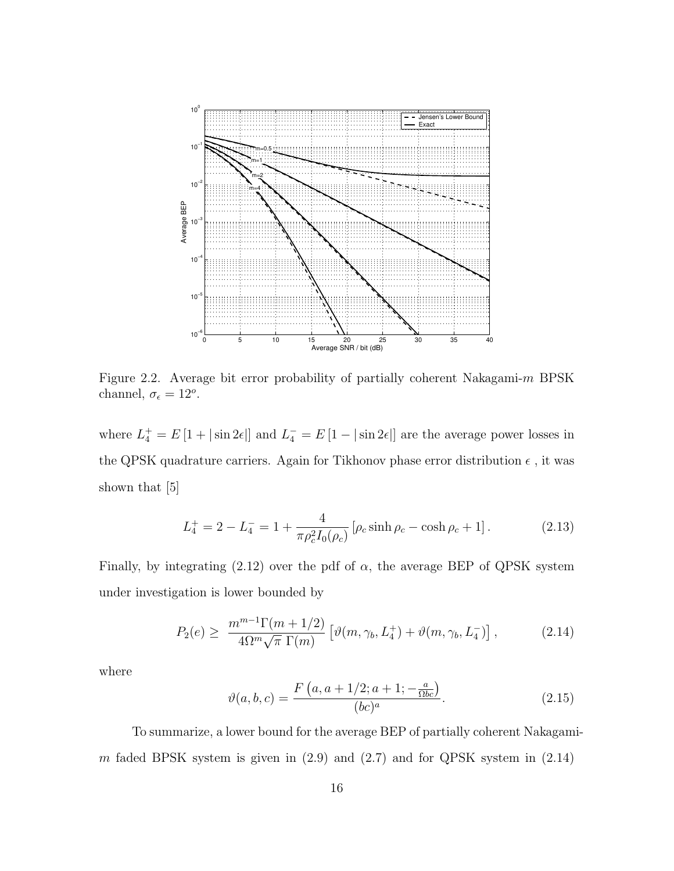

Figure 2.2. Average bit error probability of partially coherent Nakagami-m BPSK channel,  $\sigma_{\epsilon} = 12^o$ .

where  $L_4^+ = E[1 + |\sin 2\epsilon|]$  and  $L_4^- = E[1 - |\sin 2\epsilon|]$  are the average power losses in the QPSK quadrature carriers. Again for Tikhonov phase error distribution  $\epsilon$ , it was shown that [5]

$$
L_4^+ = 2 - L_4^- = 1 + \frac{4}{\pi \rho_c^2 I_0(\rho_c)} \left[ \rho_c \sinh \rho_c - \cosh \rho_c + 1 \right]. \tag{2.13}
$$

Finally, by integrating (2.12) over the pdf of  $\alpha$ , the average BEP of QPSK system under investigation is lower bounded by

$$
P_2(e) \geq \frac{m^{m-1}\Gamma(m+1/2)}{4\Omega^m\sqrt{\pi} \Gamma(m)} \left[ \vartheta(m,\gamma_b,L_4^+) + \vartheta(m,\gamma_b,L_4^-) \right],
$$
 (2.14)

where

$$
\vartheta(a,b,c) = \frac{F(a, a + 1/2; a + 1; -\frac{a}{\Omega bc})}{(bc)^a}.
$$
\n(2.15)

To summarize, a lower bound for the average BEP of partially coherent Nakagamim faded BPSK system is given in  $(2.9)$  and  $(2.7)$  and for QPSK system in  $(2.14)$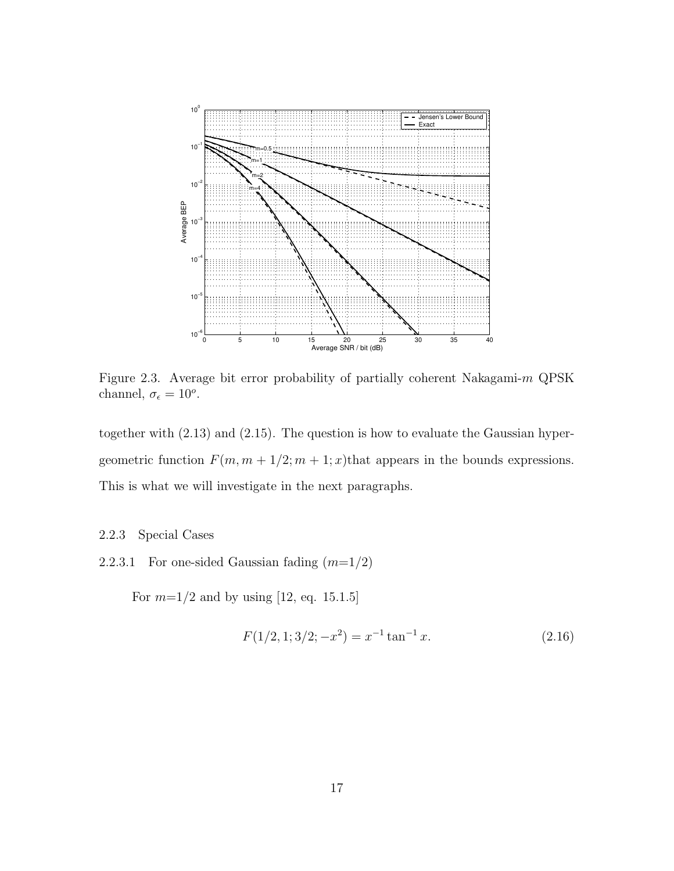

Figure 2.3. Average bit error probability of partially coherent Nakagami-m QPSK channel,  $\sigma_{\epsilon} = 10^{\circ}$ .

together with (2.13) and (2.15). The question is how to evaluate the Gaussian hypergeometric function  $F(m, m + 1/2; m + 1; x)$ that appears in the bounds expressions. This is what we will investigate in the next paragraphs.

#### 2.2.3 Special Cases

2.2.3.1 For one-sided Gaussian fading  $(m=1/2)$ 

For  $m=1/2$  and by using [12, eq. 15.1.5]

$$
F(1/2, 1; 3/2; -x^2) = x^{-1} \tan^{-1} x.
$$
 (2.16)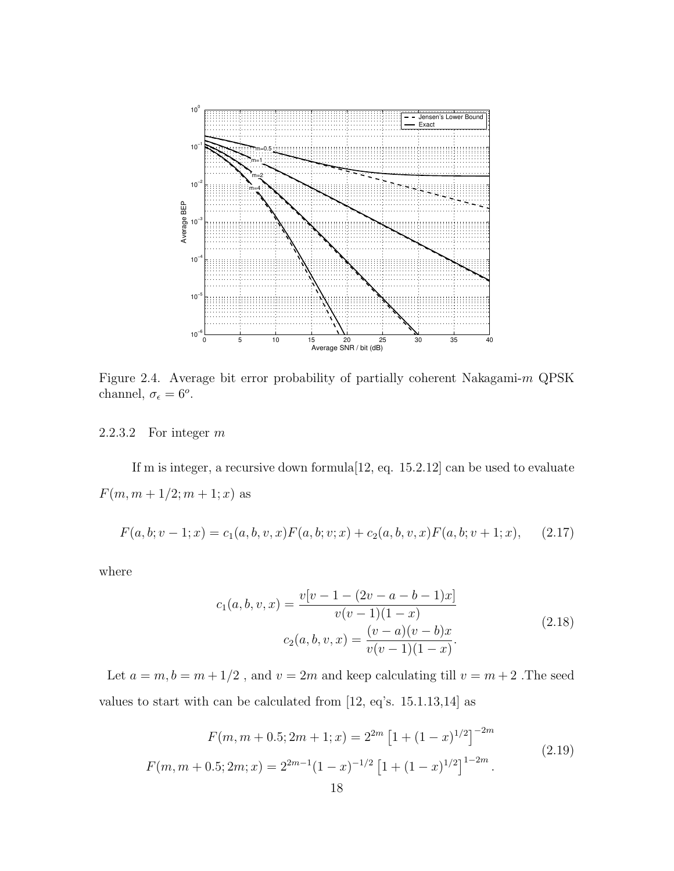

Figure 2.4. Average bit error probability of partially coherent Nakagami-m QPSK channel,  $\sigma_{\epsilon} = 6^{\circ}$ .

2.2.3.2 For integer m

If m is integer, a recursive down formula[12, eq. 15.2.12] can be used to evaluate  $F(m, m + 1/2; m + 1; x)$  as

$$
F(a, b; v - 1; x) = c_1(a, b, v, x) F(a, b; v; x) + c_2(a, b, v, x) F(a, b; v + 1; x), \quad (2.17)
$$

where

$$
c_1(a, b, v, x) = \frac{v[v - 1 - (2v - a - b - 1)x]}{v(v - 1)(1 - x)}
$$
  

$$
c_2(a, b, v, x) = \frac{(v - a)(v - b)x}{v(v - 1)(1 - x)}.
$$
 (2.18)

Let  $a=m, b=m+1/2$  , and  $v=2m$  and keep calculating till  $v=m+2$  .The seed values to start with can be calculated from [12, eq's. 15.1.13,14] as

$$
F(m, m+0.5; 2m+1; x) = 2^{2m} \left[ 1 + (1-x)^{1/2} \right]^{-2m}
$$
  

$$
F(m, m+0.5; 2m; x) = 2^{2m-1} (1-x)^{-1/2} \left[ 1 + (1-x)^{1/2} \right]^{1-2m}.
$$
 (2.19)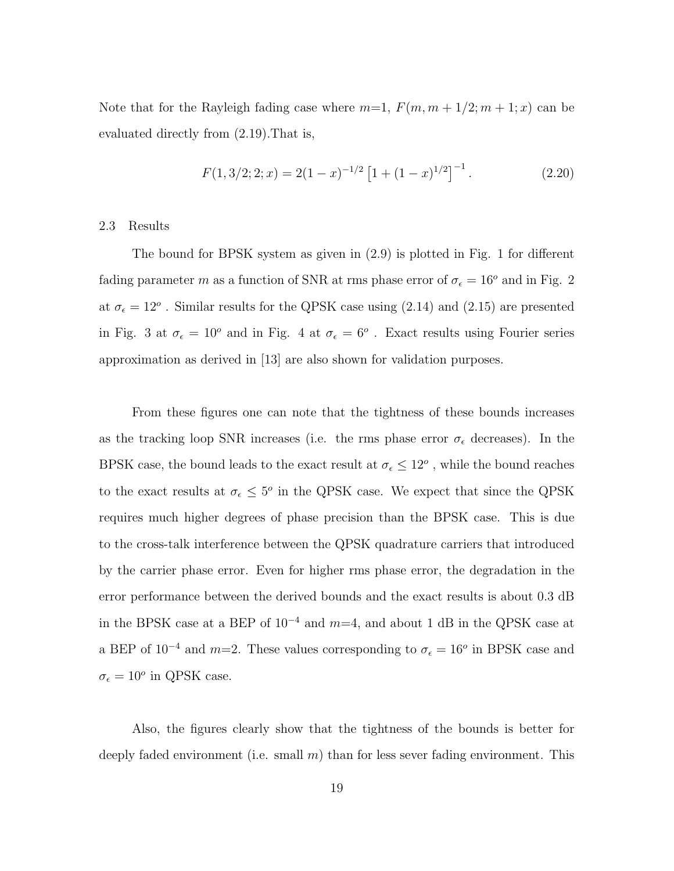Note that for the Rayleigh fading case where  $m=1$ ,  $F(m, m+1/2; m+1; x)$  can be evaluated directly from (2.19).That is,

$$
F(1,3/2;2;x) = 2(1-x)^{-1/2} \left[1 + (1-x)^{1/2}\right]^{-1}.
$$
 (2.20)

2.3 Results

The bound for BPSK system as given in (2.9) is plotted in Fig. 1 for different fading parameter m as a function of SNR at rms phase error of  $\sigma_{\epsilon} = 16^{\circ}$  and in Fig. 2 at  $\sigma_{\epsilon} = 12^{\circ}$ . Similar results for the QPSK case using (2.14) and (2.15) are presented in Fig. 3 at  $\sigma_{\epsilon} = 10^{\circ}$  and in Fig. 4 at  $\sigma_{\epsilon} = 6^{\circ}$ . Exact results using Fourier series approximation as derived in [13] are also shown for validation purposes.

From these figures one can note that the tightness of these bounds increases as the tracking loop SNR increases (i.e. the rms phase error  $\sigma_{\epsilon}$  decreases). In the BPSK case, the bound leads to the exact result at  $\sigma_{\epsilon} \leq 12^{\circ}$ , while the bound reaches to the exact results at  $\sigma_{\epsilon} \leq 5^{\circ}$  in the QPSK case. We expect that since the QPSK requires much higher degrees of phase precision than the BPSK case. This is due to the cross-talk interference between the QPSK quadrature carriers that introduced by the carrier phase error. Even for higher rms phase error, the degradation in the error performance between the derived bounds and the exact results is about 0.3 dB in the BPSK case at a BEP of  $10^{-4}$  and  $m=4$ , and about 1 dB in the QPSK case at a BEP of  $10^{-4}$  and  $m=2$ . These values corresponding to  $\sigma_{\epsilon} = 16^{\circ}$  in BPSK case and  $\sigma_{\epsilon} = 10^o$  in QPSK case.

Also, the figures clearly show that the tightness of the bounds is better for deeply faded environment (i.e. small  $m$ ) than for less sever fading environment. This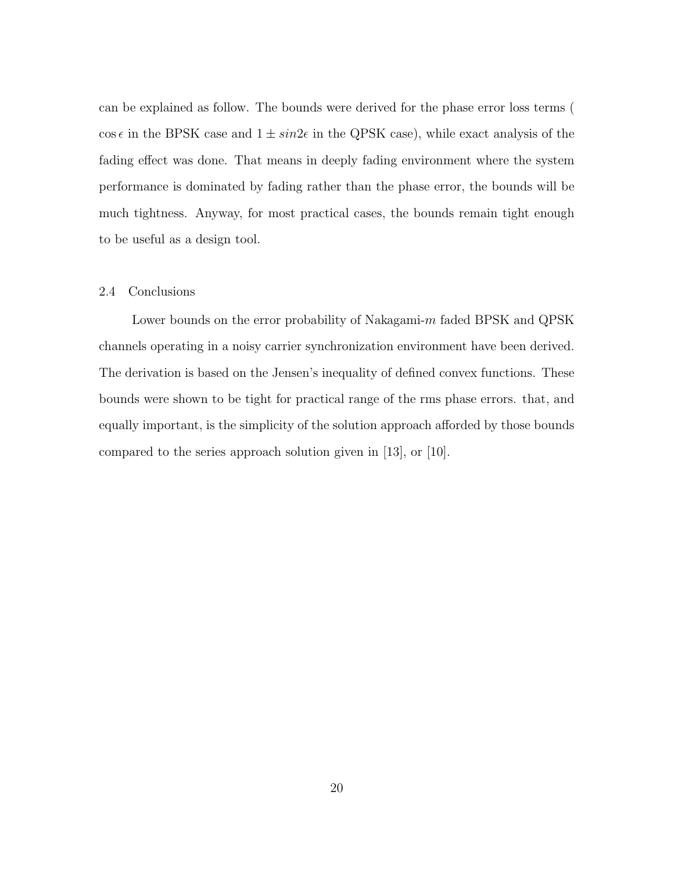can be explained as follow. The bounds were derived for the phase error loss terms ( cos  $\epsilon$  in the BPSK case and  $1 \pm \sin 2\epsilon$  in the QPSK case), while exact analysis of the fading effect was done. That means in deeply fading environment where the system performance is dominated by fading rather than the phase error, the bounds will be much tightness. Anyway, for most practical cases, the bounds remain tight enough to be useful as a design tool.

#### 2.4 Conclusions

Lower bounds on the error probability of Nakagami- $m$  faded BPSK and QPSK channels operating in a noisy carrier synchronization environment have been derived. The derivation is based on the Jensen's inequality of defined convex functions. These bounds were shown to be tight for practical range of the rms phase errors. that, and equally important, is the simplicity of the solution approach afforded by those bounds compared to the series approach solution given in [13], or [10].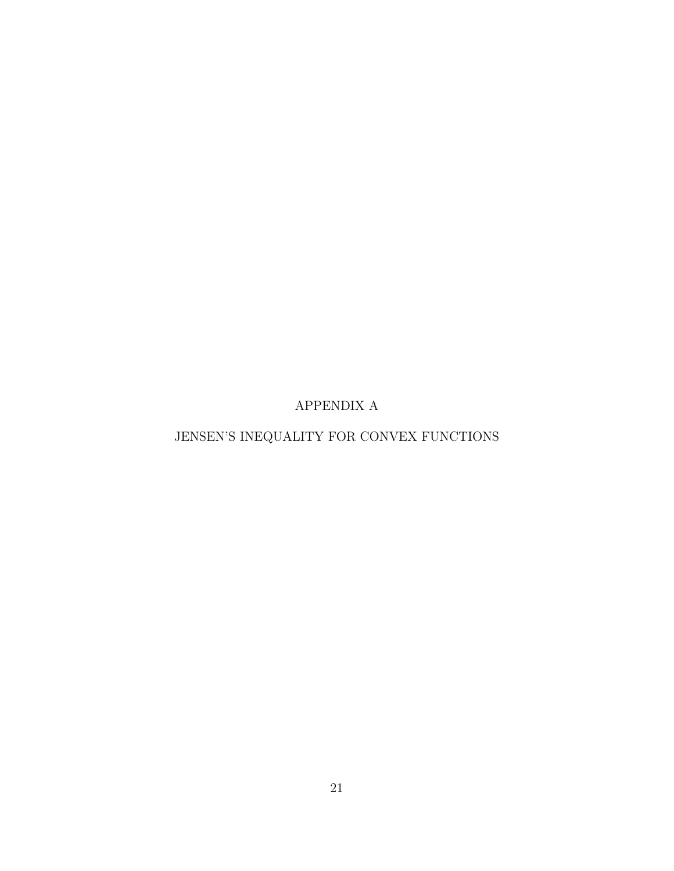APPENDIX A

## JENSEN'S INEQUALITY FOR CONVEX FUNCTIONS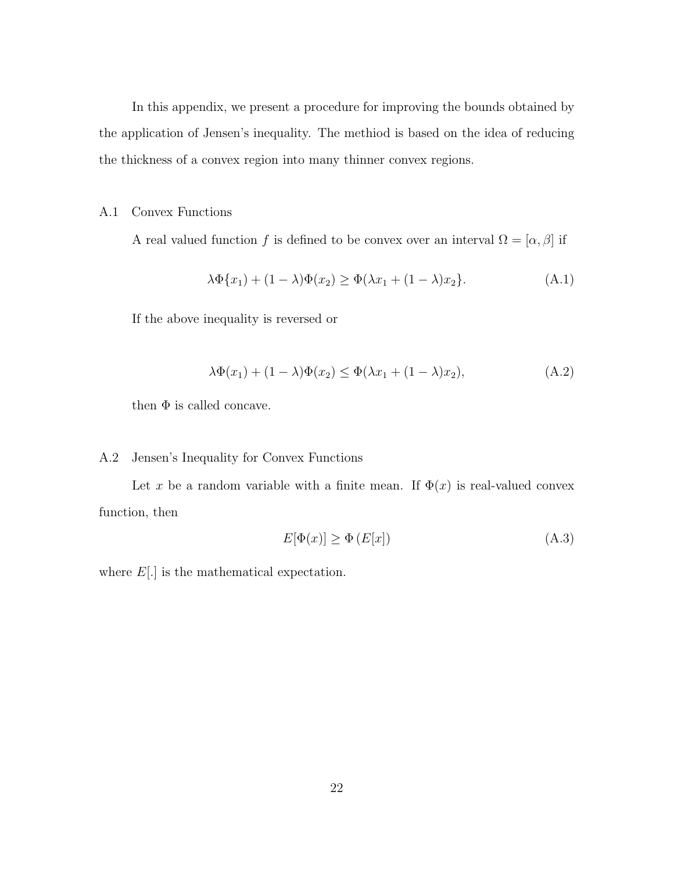In this appendix, we present a procedure for improving the bounds obtained by the application of Jensen's inequality. The methiod is based on the idea of reducing the thickness of a convex region into many thinner convex regions.

#### A.1 Convex Functions

A real valued function f is defined to be convex over an interval  $\Omega = [\alpha, \beta]$  if

$$
\lambda \Phi\{x_1\} + (1 - \lambda)\Phi(x_2) \ge \Phi(\lambda x_1 + (1 - \lambda)x_2).
$$
\n(A.1)

If the above inequality is reversed or

$$
\lambda \Phi(x_1) + (1 - \lambda)\Phi(x_2) \le \Phi(\lambda x_1 + (1 - \lambda)x_2),\tag{A.2}
$$

then  $\Phi$  is called concave.

#### A.2 Jensen's Inequality for Convex Functions

Let x be a random variable with a finite mean. If  $\Phi(x)$  is real-valued convex function, then

$$
E[\Phi(x)] \ge \Phi(E[x]) \tag{A.3}
$$

where  $E[.]$  is the mathematical expectation.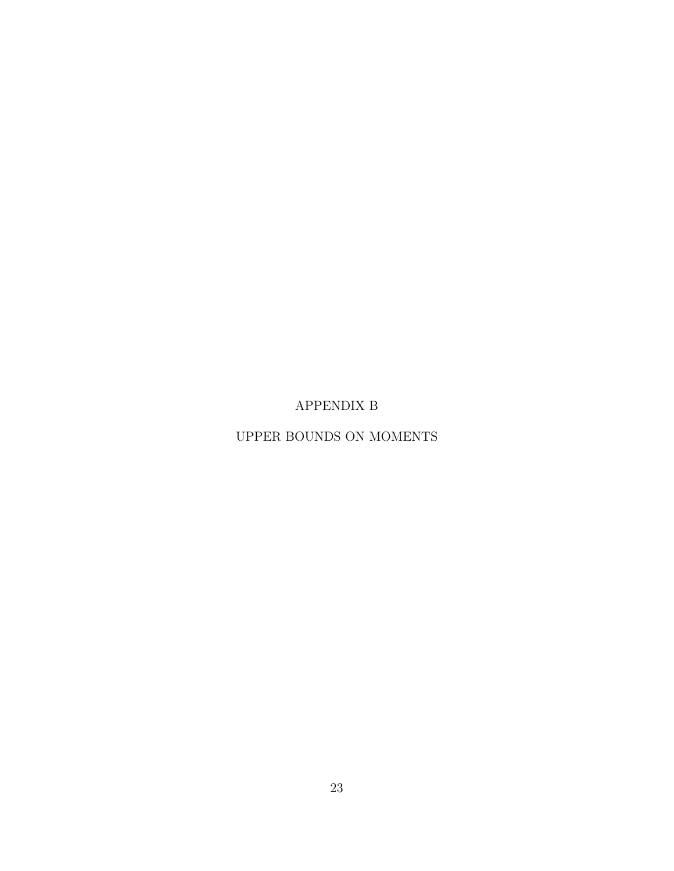APPENDIX B

UPPER BOUNDS ON MOMENTS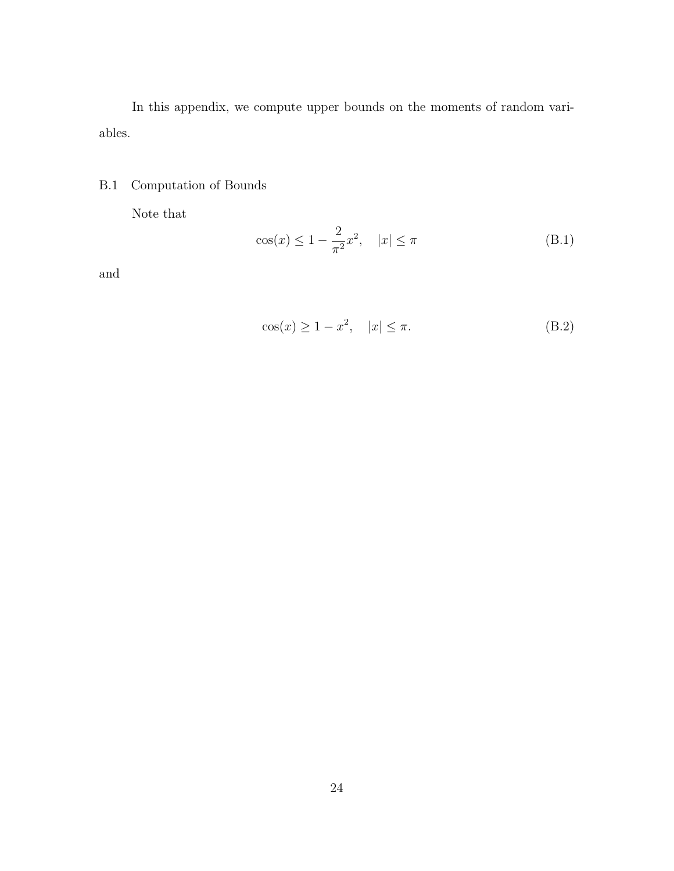In this appendix, we compute upper bounds on the moments of random variables.

## B.1 Computation of Bounds

Note that

$$
\cos(x) \le 1 - \frac{2}{\pi^2} x^2, \quad |x| \le \pi
$$
\n(B.1)

and

$$
\cos(x) \ge 1 - x^2, \quad |x| \le \pi. \tag{B.2}
$$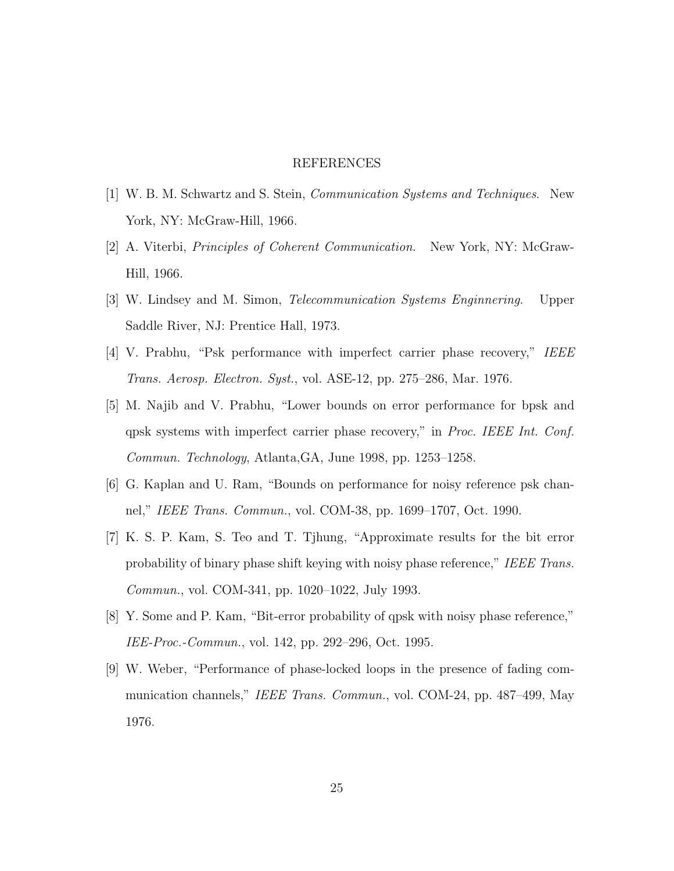#### REFERENCES

- [1] W. B. M. Schwartz and S. Stein, Communication Systems and Techniques. New York, NY: McGraw-Hill, 1966.
- [2] A. Viterbi, Principles of Coherent Communication. New York, NY: McGraw-Hill, 1966.
- [3] W. Lindsey and M. Simon, Telecommunication Systems Enginnering. Upper Saddle River, NJ: Prentice Hall, 1973.
- [4] V. Prabhu, "Psk performance with imperfect carrier phase recovery," IEEE Trans. Aerosp. Electron. Syst., vol. ASE-12, pp. 275–286, Mar. 1976.
- [5] M. Najib and V. Prabhu, "Lower bounds on error performance for bpsk and qpsk systems with imperfect carrier phase recovery," in Proc. IEEE Int. Conf. Commun. Technology, Atlanta,GA, June 1998, pp. 1253–1258.
- [6] G. Kaplan and U. Ram, "Bounds on performance for noisy reference psk channel," IEEE Trans. Commun., vol. COM-38, pp. 1699–1707, Oct. 1990.
- [7] K. S. P. Kam, S. Teo and T. Tjhung, "Approximate results for the bit error probability of binary phase shift keying with noisy phase reference," IEEE Trans. Commun., vol. COM-341, pp. 1020–1022, July 1993.
- [8] Y. Some and P. Kam, "Bit-error probability of qpsk with noisy phase reference," IEE-Proc.-Commun., vol. 142, pp. 292–296, Oct. 1995.
- [9] W. Weber, "Performance of phase-locked loops in the presence of fading communication channels," IEEE Trans. Commun., vol. COM-24, pp. 487–499, May 1976.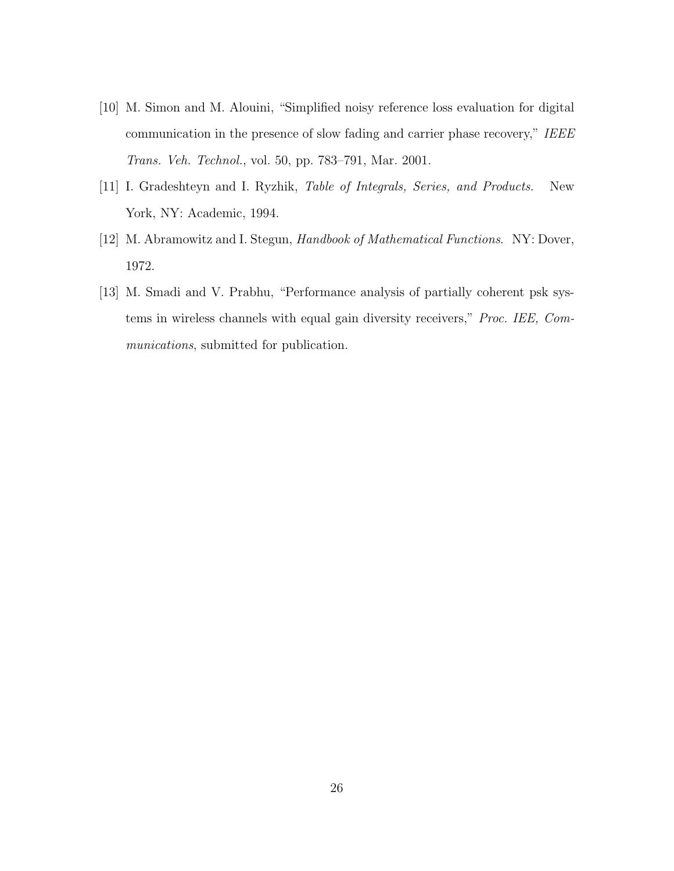- [10] M. Simon and M. Alouini, "Simplified noisy reference loss evaluation for digital communication in the presence of slow fading and carrier phase recovery," IEEE Trans. Veh. Technol., vol. 50, pp. 783–791, Mar. 2001.
- [11] I. Gradeshteyn and I. Ryzhik, Table of Integrals, Series, and Products. New York, NY: Academic, 1994.
- [12] M. Abramowitz and I. Stegun, Handbook of Mathematical Functions. NY: Dover, 1972.
- [13] M. Smadi and V. Prabhu, "Performance analysis of partially coherent psk systems in wireless channels with equal gain diversity receivers," Proc. IEE, Communications, submitted for publication.